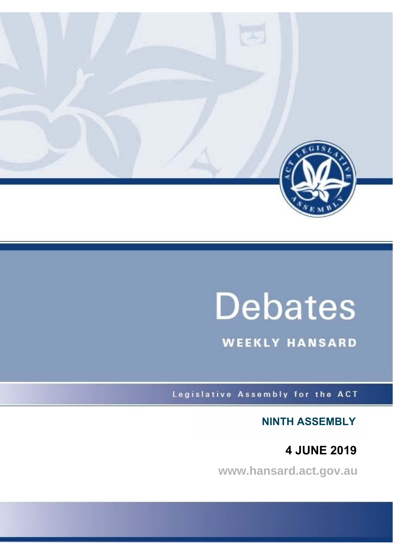

# **Debates**

**WEEKLY HANSARD** 

Legislative Assembly for the ACT

**NINTH ASSEMBLY**

 **4 JUNE 2019**

**www.hansard.act.gov.au**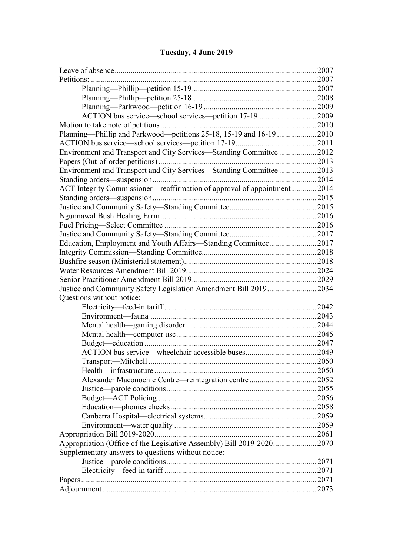# **[Tuesday, 4 June 2019](#page-3-0)**

| ACTION bus service—school services—petition 17-19 2009                  |  |
|-------------------------------------------------------------------------|--|
|                                                                         |  |
| Planning-Phillip and Parkwood-petitions 25-18, 15-19 and 16-19 2010     |  |
|                                                                         |  |
| Environment and Transport and City Services—Standing Committee 2012     |  |
|                                                                         |  |
| Environment and Transport and City Services-Standing Committee 2013     |  |
|                                                                         |  |
| ACT Integrity Commissioner—reaffirmation of approval of appointment2014 |  |
|                                                                         |  |
|                                                                         |  |
|                                                                         |  |
|                                                                         |  |
|                                                                         |  |
| Education, Employment and Youth Affairs-Standing Committee2017          |  |
|                                                                         |  |
|                                                                         |  |
|                                                                         |  |
|                                                                         |  |
| Justice and Community Safety Legislation Amendment Bill 20192034        |  |
| Questions without notice:                                               |  |
|                                                                         |  |
|                                                                         |  |
|                                                                         |  |
|                                                                         |  |
|                                                                         |  |
|                                                                         |  |
|                                                                         |  |
|                                                                         |  |
|                                                                         |  |
|                                                                         |  |
|                                                                         |  |
|                                                                         |  |
|                                                                         |  |
|                                                                         |  |
|                                                                         |  |
|                                                                         |  |
| Appropriation (Office of the Legislative Assembly) Bill 2019-20202070   |  |
| Supplementary answers to questions without notice:                      |  |
|                                                                         |  |
|                                                                         |  |
|                                                                         |  |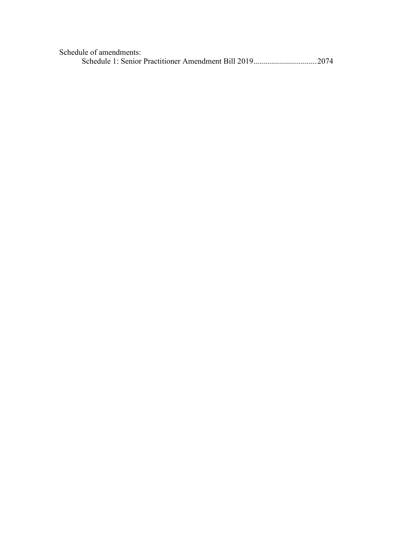| Schedule of amendments: |  |
|-------------------------|--|
|                         |  |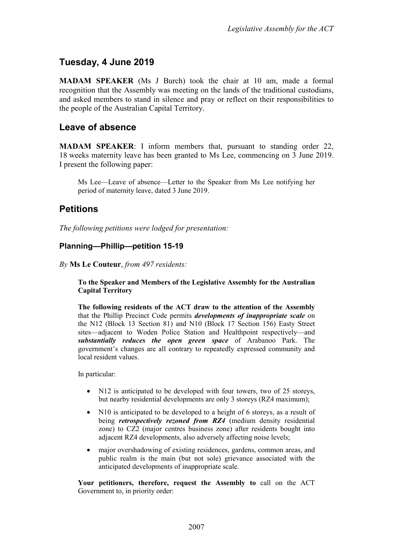# <span id="page-3-0"></span>**Tuesday, 4 June 2019**

**MADAM SPEAKER** (Ms J Burch) took the chair at 10 am, made a formal recognition that the Assembly was meeting on the lands of the traditional custodians, and asked members to stand in silence and pray or reflect on their responsibilities to the people of the Australian Capital Territory.

## <span id="page-3-1"></span>**Leave of absence**

**MADAM SPEAKER**: I inform members that, pursuant to standing order 22, 18 weeks maternity leave has been granted to Ms Lee, commencing on 3 June 2019. I present the following paper:

Ms Lee—Leave of absence—Letter to the Speaker from Ms Lee notifying her period of maternity leave, dated 3 June 2019.

## <span id="page-3-2"></span>**Petitions**

*The following petitions were lodged for presentation:*

#### <span id="page-3-3"></span>**Planning—Phillip—petition 15-19**

*By* **Ms Le Couteur**, *from 497 residents:*

#### **To the Speaker and Members of the Legislative Assembly for the Australian Capital Territory**

**The following residents of the ACT draw to the attention of the Assembly** that the Phillip Precinct Code permits *developments of inappropriate scale* on the N12 (Block 13 Section 81) and N10 (Block 17 Section 156) Easty Street sites—adjacent to Woden Police Station and Healthpoint respectively—and *substantially reduces the open green space* of Arabanoo Park. The government's changes are all contrary to repeatedly expressed community and local resident values.

In particular:

- N12 is anticipated to be developed with four towers, two of 25 storeys, but nearby residential developments are only 3 storeys (RZ4 maximum);
- N10 is anticipated to be developed to a height of 6 storeys, as a result of being *retrospectively rezoned from RZ4* (medium density residential zone) to CZ2 (major centres business zone) after residents bought into adjacent RZ4 developments, also adversely affecting noise levels;
- major overshadowing of existing residences, gardens, common areas, and public realm is the main (but not sole) grievance associated with the anticipated developments of inappropriate scale.

**Your petitioners, therefore, request the Assembly to** call on the ACT Government to, in priority order: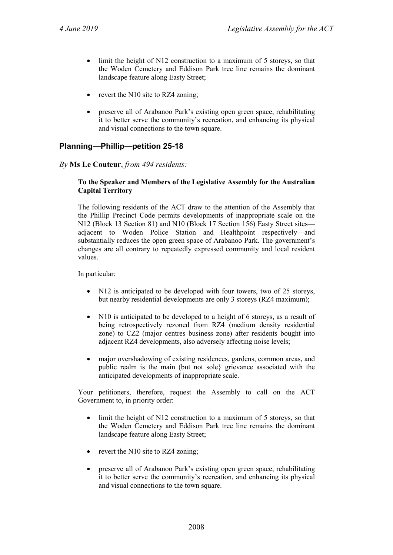- limit the height of N12 construction to a maximum of 5 storeys, so that the Woden Cemetery and Eddison Park tree line remains the dominant landscape feature along Easty Street;
- revert the N10 site to RZ4 zoning;
- preserve all of Arabanoo Park's existing open green space, rehabilitating it to better serve the community's recreation, and enhancing its physical and visual connections to the town square.

#### <span id="page-4-0"></span>**Planning—Phillip—petition 25-18**

#### *By* **Ms Le Couteur**, *from 494 residents:*

#### **To the Speaker and Members of the Legislative Assembly for the Australian Capital Territory**

The following residents of the ACT draw to the attention of the Assembly that the Phillip Precinct Code permits developments of inappropriate scale on the N12 (Block 13 Section 81) and N10 (Block 17 Section 156) Easty Street sites adjacent to Woden Police Station and Healthpoint respectively—and substantially reduces the open green space of Arabanoo Park. The government's changes are all contrary to repeatedly expressed community and local resident values.

In particular:

- N12 is anticipated to be developed with four towers, two of 25 storeys, but nearby residential developments are only 3 storeys (RZ4 maximum);
- N10 is anticipated to be developed to a height of 6 storeys, as a result of being retrospectively rezoned from RZ4 (medium density residential zone) to CZ2 (major centres business zone) after residents bought into adjacent RZ4 developments, also adversely affecting noise levels;
- major overshadowing of existing residences, gardens, common areas, and public realm is the main (but not sole} grievance associated with the anticipated developments of inappropriate scale.

Your petitioners, therefore, request the Assembly to call on the ACT Government to, in priority order:

- limit the height of N12 construction to a maximum of 5 storeys, so that the Woden Cemetery and Eddison Park tree line remains the dominant landscape feature along Easty Street;
- revert the N10 site to RZ4 zoning;
- preserve all of Arabanoo Park's existing open green space, rehabilitating it to better serve the community's recreation, and enhancing its physical and visual connections to the town square.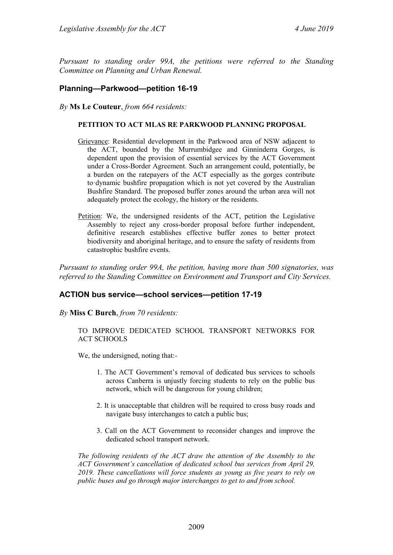*Pursuant to standing order 99A, the petitions were referred to the Standing Committee on Planning and Urban Renewal.*

#### <span id="page-5-0"></span>**Planning—Parkwood—petition 16-19**

*By* **Ms Le Couteur**, *from 664 residents:*

#### **PETITION TO ACT MLAS RE PARKWOOD PLANNING PROPOSAL**

- Grievance: Residential development in the Parkwood area of NSW adjacent to the ACT, bounded by the Murrumbidgee and Ginninderra Gorges, is dependent upon the provision of essential services by the ACT Government under a Cross-Border Agreement. Such an arrangement could, potentially, be a burden on the ratepayers of the ACT especially as the gorges contribute to·dynamic bushfire propagation which is not yet covered by the Australian Bushfire Standard. The proposed buffer zones around the urban area will not adequately protect the ecology, the history or the residents.
- Petition: We, the undersigned residents of the ACT, petition the Legislative Assembly to reject any cross-border proposal before further independent, definitive research establishes effective buffer zones to better protect biodiversity and aboriginal heritage, and to ensure the safety of residents from catastrophic bushfire events.

*Pursuant to standing order 99A, the petition, having more than 500 signatories, was referred to the Standing Committee on Environment and Transport and City Services.*

#### <span id="page-5-1"></span>**ACTION bus service—school services—petition 17-19**

#### *By* **Miss C Burch**, *from 70 residents:*

#### TO IMPROVE DEDICATED SCHOOL TRANSPORT NETWORKS FOR ACT SCHOOLS

We, the undersigned, noting that:-

- 1. The ACT Government's removal of dedicated bus services to schools across Canberra is unjustly forcing students to rely on the public bus network, which will be dangerous for young children;
- 2. It is unacceptable that children will be required to cross busy roads and navigate busy interchanges to catch a public bus;
- 3. Call on the ACT Government to reconsider changes and improve the dedicated school transport network.

*The following residents of the ACT draw the attention of the Assembly to the ACT Government's cancellation of dedicated school bus services from April 29, 2019. These cancellations will force students as young as five years to rely on public buses and go through major interchanges to get to and from school.*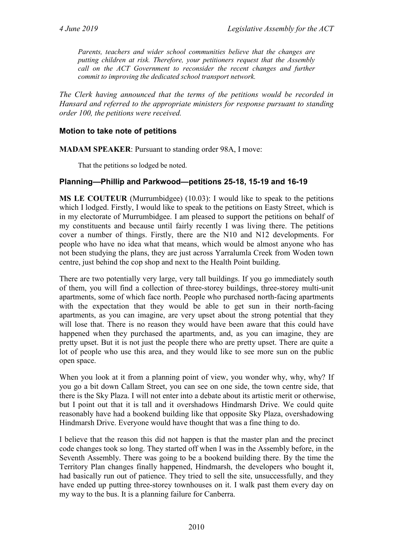*Parents, teachers and wider school communities believe that the changes are putting children at risk. Therefore, your petitioners request that the Assembly call on the ACT Government to reconsider the recent changes and further commit to improving the dedicated school transport network.*

*The Clerk having announced that the terms of the petitions would be recorded in Hansard and referred to the appropriate ministers for response pursuant to standing order 100, the petitions were received.*

#### <span id="page-6-0"></span>**Motion to take note of petitions**

**MADAM SPEAKER**: Pursuant to standing order 98A, I move:

That the petitions so lodged be noted.

#### <span id="page-6-1"></span>**Planning—Phillip and Parkwood—petitions 25-18, 15-19 and 16-19**

**MS LE COUTEUR** (Murrumbidgee) (10.03): I would like to speak to the petitions which I lodged. Firstly, I would like to speak to the petitions on Easty Street, which is in my electorate of Murrumbidgee. I am pleased to support the petitions on behalf of my constituents and because until fairly recently I was living there. The petitions cover a number of things. Firstly, there are the N10 and N12 developments. For people who have no idea what that means, which would be almost anyone who has not been studying the plans, they are just across Yarralumla Creek from Woden town centre, just behind the cop shop and next to the Health Point building.

There are two potentially very large, very tall buildings. If you go immediately south of them, you will find a collection of three-storey buildings, three-storey multi-unit apartments, some of which face north. People who purchased north-facing apartments with the expectation that they would be able to get sun in their north-facing apartments, as you can imagine, are very upset about the strong potential that they will lose that. There is no reason they would have been aware that this could have happened when they purchased the apartments, and, as you can imagine, they are pretty upset. But it is not just the people there who are pretty upset. There are quite a lot of people who use this area, and they would like to see more sun on the public open space.

When you look at it from a planning point of view, you wonder why, why, why? If you go a bit down Callam Street, you can see on one side, the town centre side, that there is the Sky Plaza. I will not enter into a debate about its artistic merit or otherwise, but I point out that it is tall and it overshadows Hindmarsh Drive. We could quite reasonably have had a bookend building like that opposite Sky Plaza, overshadowing Hindmarsh Drive. Everyone would have thought that was a fine thing to do.

I believe that the reason this did not happen is that the master plan and the precinct code changes took so long. They started off when I was in the Assembly before, in the Seventh Assembly. There was going to be a bookend building there. By the time the Territory Plan changes finally happened, Hindmarsh, the developers who bought it, had basically run out of patience. They tried to sell the site, unsuccessfully, and they have ended up putting three-storey townhouses on it. I walk past them every day on my way to the bus. It is a planning failure for Canberra.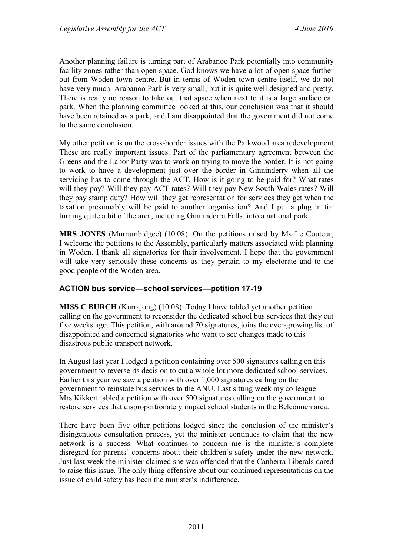Another planning failure is turning part of Arabanoo Park potentially into community facility zones rather than open space. God knows we have a lot of open space further out from Woden town centre. But in terms of Woden town centre itself, we do not have very much. Arabanoo Park is very small, but it is quite well designed and pretty. There is really no reason to take out that space when next to it is a large surface car park. When the planning committee looked at this, our conclusion was that it should have been retained as a park, and I am disappointed that the government did not come to the same conclusion.

My other petition is on the cross-border issues with the Parkwood area redevelopment. These are really important issues. Part of the parliamentary agreement between the Greens and the Labor Party was to work on trying to move the border. It is not going to work to have a development just over the border in Ginninderry when all the servicing has to come through the ACT. How is it going to be paid for? What rates will they pay? Will they pay ACT rates? Will they pay New South Wales rates? Will they pay stamp duty? How will they get representation for services they get when the taxation presumably will be paid to another organisation? And I put a plug in for turning quite a bit of the area, including Ginninderra Falls, into a national park.

**MRS JONES** (Murrumbidgee) (10.08): On the petitions raised by Ms Le Couteur, I welcome the petitions to the Assembly, particularly matters associated with planning in Woden. I thank all signatories for their involvement. I hope that the government will take very seriously these concerns as they pertain to my electorate and to the good people of the Woden area.

#### <span id="page-7-0"></span>**ACTION bus service—school services—petition 17-19**

**MISS C BURCH** (Kurrajong) (10.08): Today I have tabled yet another petition calling on the government to reconsider the dedicated school bus services that they cut five weeks ago. This petition, with around 70 signatures, joins the ever-growing list of disappointed and concerned signatories who want to see changes made to this disastrous public transport network.

In August last year I lodged a petition containing over 500 signatures calling on this government to reverse its decision to cut a whole lot more dedicated school services. Earlier this year we saw a petition with over 1,000 signatures calling on the government to reinstate bus services to the ANU. Last sitting week my colleague Mrs Kikkert tabled a petition with over 500 signatures calling on the government to restore services that disproportionately impact school students in the Belconnen area.

There have been five other petitions lodged since the conclusion of the minister's disingenuous consultation process, yet the minister continues to claim that the new network is a success. What continues to concern me is the minister's complete disregard for parents' concerns about their children's safety under the new network. Just last week the minister claimed she was offended that the Canberra Liberals dared to raise this issue. The only thing offensive about our continued representations on the issue of child safety has been the minister's indifference.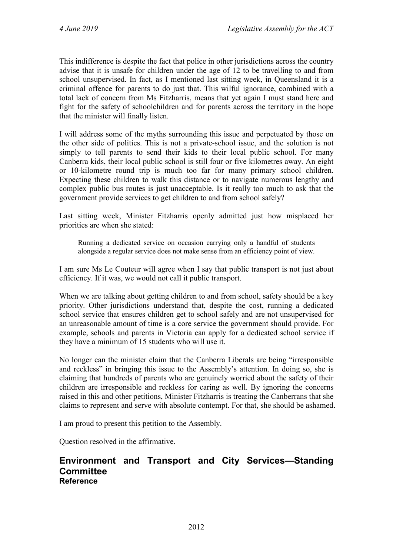This indifference is despite the fact that police in other jurisdictions across the country advise that it is unsafe for children under the age of 12 to be travelling to and from school unsupervised. In fact, as I mentioned last sitting week, in Queensland it is a criminal offence for parents to do just that. This wilful ignorance, combined with a total lack of concern from Ms Fitzharris, means that yet again I must stand here and fight for the safety of schoolchildren and for parents across the territory in the hope that the minister will finally listen.

I will address some of the myths surrounding this issue and perpetuated by those on the other side of politics. This is not a private-school issue, and the solution is not simply to tell parents to send their kids to their local public school. For many Canberra kids, their local public school is still four or five kilometres away. An eight or 10-kilometre round trip is much too far for many primary school children. Expecting these children to walk this distance or to navigate numerous lengthy and complex public bus routes is just unacceptable. Is it really too much to ask that the government provide services to get children to and from school safely?

Last sitting week, Minister Fitzharris openly admitted just how misplaced her priorities are when she stated:

Running a dedicated service on occasion carrying only a handful of students alongside a regular service does not make sense from an efficiency point of view.

I am sure Ms Le Couteur will agree when I say that public transport is not just about efficiency. If it was, we would not call it public transport.

When we are talking about getting children to and from school, safety should be a key priority. Other jurisdictions understand that, despite the cost, running a dedicated school service that ensures children get to school safely and are not unsupervised for an unreasonable amount of time is a core service the government should provide. For example, schools and parents in Victoria can apply for a dedicated school service if they have a minimum of 15 students who will use it.

No longer can the minister claim that the Canberra Liberals are being "irresponsible and reckless" in bringing this issue to the Assembly's attention. In doing so, she is claiming that hundreds of parents who are genuinely worried about the safety of their children are irresponsible and reckless for caring as well. By ignoring the concerns raised in this and other petitions, Minister Fitzharris is treating the Canberrans that she claims to represent and serve with absolute contempt. For that, she should be ashamed.

I am proud to present this petition to the Assembly.

Question resolved in the affirmative.

### <span id="page-8-0"></span>**Environment and Transport and City Services—Standing Committee Reference**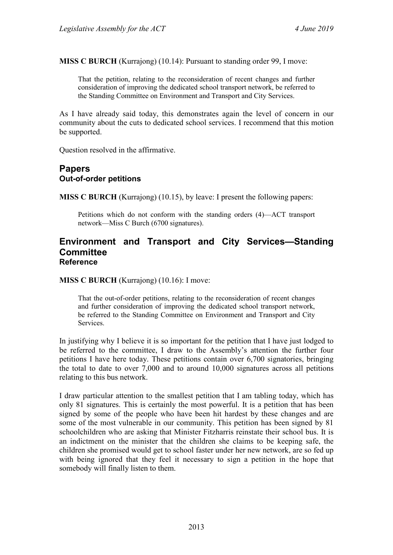**MISS C BURCH** (Kurrajong) (10.14): Pursuant to standing order 99, I move:

That the petition, relating to the reconsideration of recent changes and further consideration of improving the dedicated school transport network, be referred to the Standing Committee on Environment and Transport and City Services.

As I have already said today, this demonstrates again the level of concern in our community about the cuts to dedicated school services. I recommend that this motion be supported.

Question resolved in the affirmative.

## <span id="page-9-1"></span><span id="page-9-0"></span>**Papers Out-of-order petitions**

**MISS C BURCH** (Kurrajong) (10.15), by leave: I present the following papers:

Petitions which do not conform with the standing orders (4)—ACT transport network—Miss C Burch (6700 signatures).

#### <span id="page-9-2"></span>**Environment and Transport and City Services—Standing Committee Reference**

**MISS C BURCH** (Kurrajong) (10.16): I move:

That the out-of-order petitions, relating to the reconsideration of recent changes and further consideration of improving the dedicated school transport network, be referred to the Standing Committee on Environment and Transport and City Services.

In justifying why I believe it is so important for the petition that I have just lodged to be referred to the committee, I draw to the Assembly's attention the further four petitions I have here today. These petitions contain over 6,700 signatories, bringing the total to date to over 7,000 and to around 10,000 signatures across all petitions relating to this bus network.

I draw particular attention to the smallest petition that I am tabling today, which has only 81 signatures. This is certainly the most powerful. It is a petition that has been signed by some of the people who have been hit hardest by these changes and are some of the most vulnerable in our community. This petition has been signed by 81 schoolchildren who are asking that Minister Fitzharris reinstate their school bus. It is an indictment on the minister that the children she claims to be keeping safe, the children she promised would get to school faster under her new network, are so fed up with being ignored that they feel it necessary to sign a petition in the hope that somebody will finally listen to them.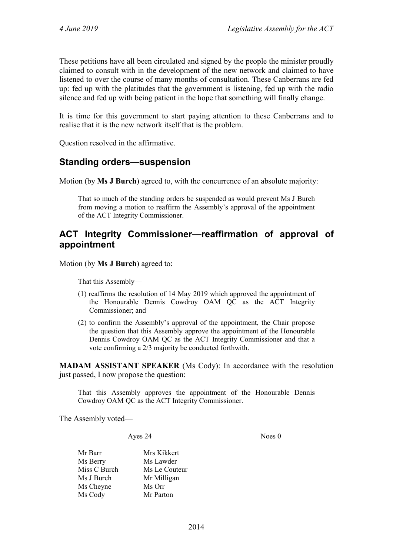These petitions have all been circulated and signed by the people the minister proudly claimed to consult with in the development of the new network and claimed to have listened to over the course of many months of consultation. These Canberrans are fed up: fed up with the platitudes that the government is listening, fed up with the radio silence and fed up with being patient in the hope that something will finally change.

It is time for this government to start paying attention to these Canberrans and to realise that it is the new network itself that is the problem.

Question resolved in the affirmative.

## <span id="page-10-0"></span>**Standing orders—suspension**

Motion (by **Ms J Burch**) agreed to, with the concurrence of an absolute majority:

That so much of the standing orders be suspended as would prevent Ms J Burch from moving a motion to reaffirm the Assembly's approval of the appointment of the ACT Integrity Commissioner.

## <span id="page-10-1"></span>**ACT Integrity Commissioner—reaffirmation of approval of appointment**

Motion (by **Ms J Burch**) agreed to:

That this Assembly—

- (1) reaffirms the resolution of 14 May 2019 which approved the appointment of the Honourable Dennis Cowdroy OAM QC as the ACT Integrity Commissioner; and
- (2) to confirm the Assembly's approval of the appointment, the Chair propose the question that this Assembly approve the appointment of the Honourable Dennis Cowdroy OAM QC as the ACT Integrity Commissioner and that a vote confirming a 2/3 majority be conducted forthwith.

**MADAM ASSISTANT SPEAKER** (Ms Cody): In accordance with the resolution just passed, I now propose the question:

That this Assembly approves the appointment of the Honourable Dennis Cowdroy OAM QC as the ACT Integrity Commissioner.

The Assembly voted—

Ayes 24 Noes 0

Mr Barr Mrs Kikkert Ms Berry Ms Lawder<br>Miss C Burch Ms Le Cout Ms Le Couteur Ms J Burch Mr Milligan Ms Cheyne Ms Orr Ms Cody Mr Parton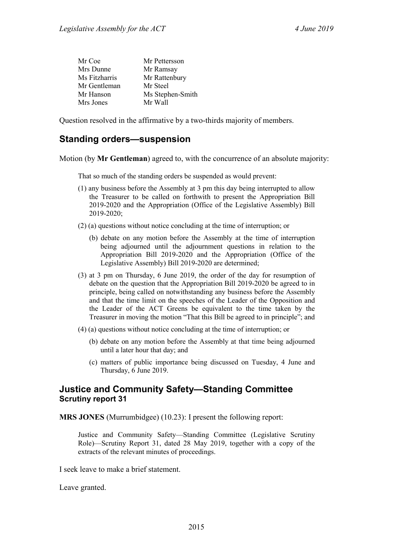| Mr Coe        | Mr Pettersson    |
|---------------|------------------|
| Mrs Dunne     | Mr Ramsay        |
| Ms Fitzharris | Mr Rattenbury    |
| Mr Gentleman  | Mr Steel         |
| Mr Hanson     | Ms Stephen-Smith |
| Mrs Jones     | Mr Wall          |

Question resolved in the affirmative by a two-thirds majority of members.

# <span id="page-11-0"></span>**Standing orders—suspension**

Motion (by **Mr Gentleman**) agreed to, with the concurrence of an absolute majority:

That so much of the standing orders be suspended as would prevent:

- (1) any business before the Assembly at 3 pm this day being interrupted to allow the Treasurer to be called on forthwith to present the Appropriation Bill 2019-2020 and the Appropriation (Office of the Legislative Assembly) Bill 2019-2020;
- (2) (a) questions without notice concluding at the time of interruption; or
	- (b) debate on any motion before the Assembly at the time of interruption being adjourned until the adjournment questions in relation to the Appropriation Bill 2019-2020 and the Appropriation (Office of the Legislative Assembly) Bill 2019-2020 are determined;
- (3) at 3 pm on Thursday, 6 June 2019, the order of the day for resumption of debate on the question that the Appropriation Bill 2019-2020 be agreed to in principle, being called on notwithstanding any business before the Assembly and that the time limit on the speeches of the Leader of the Opposition and the Leader of the ACT Greens be equivalent to the time taken by the Treasurer in moving the motion "That this Bill be agreed to in principle"; and
- (4) (a) questions without notice concluding at the time of interruption; or
	- (b) debate on any motion before the Assembly at that time being adjourned until a later hour that day; and
	- (c) matters of public importance being discussed on Tuesday, 4 June and Thursday, 6 June 2019.

## <span id="page-11-1"></span>**Justice and Community Safety—Standing Committee Scrutiny report 31**

**MRS JONES** (Murrumbidgee) (10.23): I present the following report:

Justice and Community Safety—Standing Committee (Legislative Scrutiny Role)—Scrutiny Report 31, dated 28 May 2019, together with a copy of the extracts of the relevant minutes of proceedings.

I seek leave to make a brief statement.

Leave granted.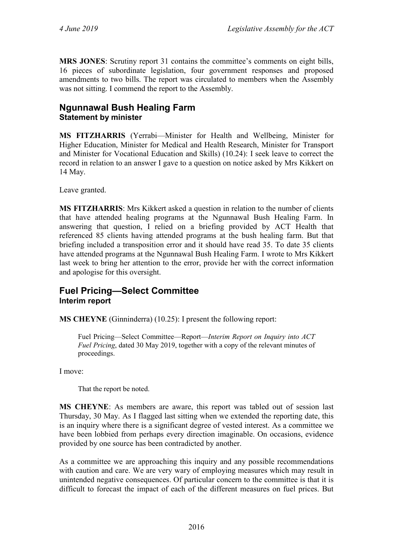**MRS JONES**: Scrutiny report 31 contains the committee's comments on eight bills, 16 pieces of subordinate legislation, four government responses and proposed amendments to two bills. The report was circulated to members when the Assembly was not sitting. I commend the report to the Assembly.

# <span id="page-12-0"></span>**Ngunnawal Bush Healing Farm Statement by minister**

**MS FITZHARRIS** (Yerrabi—Minister for Health and Wellbeing, Minister for Higher Education, Minister for Medical and Health Research, Minister for Transport and Minister for Vocational Education and Skills) (10.24): I seek leave to correct the record in relation to an answer I gave to a question on notice asked by Mrs Kikkert on 14 May.

Leave granted.

**MS FITZHARRIS**: Mrs Kikkert asked a question in relation to the number of clients that have attended healing programs at the Ngunnawal Bush Healing Farm. In answering that question, I relied on a briefing provided by ACT Health that referenced 85 clients having attended programs at the bush healing farm. But that briefing included a transposition error and it should have read 35. To date 35 clients have attended programs at the Ngunnawal Bush Healing Farm. I wrote to Mrs Kikkert last week to bring her attention to the error, provide her with the correct information and apologise for this oversight.

## <span id="page-12-1"></span>**Fuel Pricing—Select Committee Interim report**

**MS CHEYNE** (Ginninderra) (10.25): I present the following report:

Fuel Pricing—Select Committee—Report—*Interim Report on Inquiry into ACT Fuel Pricing*, dated 30 May 2019, together with a copy of the relevant minutes of proceedings.

I move:

That the report be noted.

**MS CHEYNE**: As members are aware, this report was tabled out of session last Thursday, 30 May. As I flagged last sitting when we extended the reporting date, this is an inquiry where there is a significant degree of vested interest. As a committee we have been lobbied from perhaps every direction imaginable. On occasions, evidence provided by one source has been contradicted by another.

As a committee we are approaching this inquiry and any possible recommendations with caution and care. We are very wary of employing measures which may result in unintended negative consequences. Of particular concern to the committee is that it is difficult to forecast the impact of each of the different measures on fuel prices. But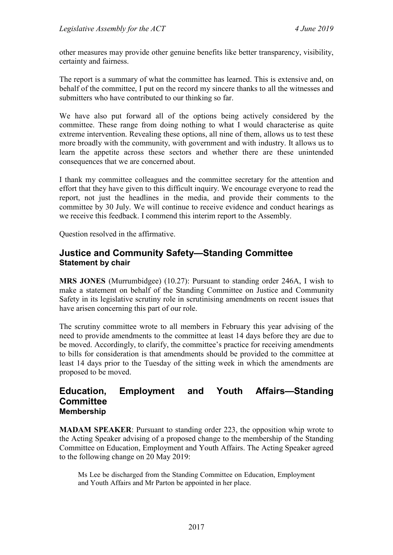other measures may provide other genuine benefits like better transparency, visibility, certainty and fairness.

The report is a summary of what the committee has learned. This is extensive and, on behalf of the committee, I put on the record my sincere thanks to all the witnesses and submitters who have contributed to our thinking so far.

We have also put forward all of the options being actively considered by the committee. These range from doing nothing to what I would characterise as quite extreme intervention. Revealing these options, all nine of them, allows us to test these more broadly with the community, with government and with industry. It allows us to learn the appetite across these sectors and whether there are these unintended consequences that we are concerned about.

I thank my committee colleagues and the committee secretary for the attention and effort that they have given to this difficult inquiry. We encourage everyone to read the report, not just the headlines in the media, and provide their comments to the committee by 30 July. We will continue to receive evidence and conduct hearings as we receive this feedback. I commend this interim report to the Assembly.

Question resolved in the affirmative.

## <span id="page-13-0"></span>**Justice and Community Safety—Standing Committee Statement by chair**

**MRS JONES** (Murrumbidgee) (10.27): Pursuant to standing order 246A, I wish to make a statement on behalf of the Standing Committee on Justice and Community Safety in its legislative scrutiny role in scrutinising amendments on recent issues that have arisen concerning this part of our role.

The scrutiny committee wrote to all members in February this year advising of the need to provide amendments to the committee at least 14 days before they are due to be moved. Accordingly, to clarify, the committee's practice for receiving amendments to bills for consideration is that amendments should be provided to the committee at least 14 days prior to the Tuesday of the sitting week in which the amendments are proposed to be moved.

## <span id="page-13-1"></span>**Education, Employment and Youth Affairs—Standing Committee Membership**

**MADAM SPEAKER**: Pursuant to standing order 223, the opposition whip wrote to the Acting Speaker advising of a proposed change to the membership of the Standing Committee on Education, Employment and Youth Affairs. The Acting Speaker agreed to the following change on 20 May 2019:

Ms Lee be discharged from the Standing Committee on Education, Employment and Youth Affairs and Mr Parton be appointed in her place.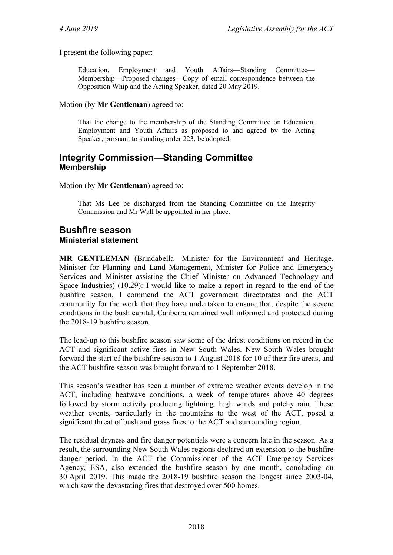#### I present the following paper:

Education, Employment and Youth Affairs—Standing Committee— Membership—Proposed changes—Copy of email correspondence between the Opposition Whip and the Acting Speaker, dated 20 May 2019.

#### Motion (by **Mr Gentleman**) agreed to:

That the change to the membership of the Standing Committee on Education, Employment and Youth Affairs as proposed to and agreed by the Acting Speaker, pursuant to standing order 223, be adopted.

## <span id="page-14-0"></span>**Integrity Commission—Standing Committee Membership**

#### Motion (by **Mr Gentleman**) agreed to:

That Ms Lee be discharged from the Standing Committee on the Integrity Commission and Mr Wall be appointed in her place.

## <span id="page-14-2"></span><span id="page-14-1"></span>**Bushfire season Ministerial statement**

**MR GENTLEMAN** (Brindabella—Minister for the Environment and Heritage, Minister for Planning and Land Management, Minister for Police and Emergency Services and Minister assisting the Chief Minister on Advanced Technology and Space Industries) (10.29): I would like to make a report in regard to the end of the bushfire season. I commend the ACT government directorates and the ACT community for the work that they have undertaken to ensure that, despite the severe conditions in the bush capital, Canberra remained well informed and protected during the 2018-19 bushfire season.

The lead-up to this bushfire season saw some of the driest conditions on record in the ACT and significant active fires in New South Wales. New South Wales brought forward the start of the bushfire season to 1 August 2018 for 10 of their fire areas, and the ACT bushfire season was brought forward to 1 September 2018.

This season's weather has seen a number of extreme weather events develop in the ACT, including heatwave conditions, a week of temperatures above 40 degrees followed by storm activity producing lightning, high winds and patchy rain. These weather events, particularly in the mountains to the west of the ACT, posed a significant threat of bush and grass fires to the ACT and surrounding region.

The residual dryness and fire danger potentials were a concern late in the season. As a result, the surrounding New South Wales regions declared an extension to the bushfire danger period. In the ACT the Commissioner of the ACT Emergency Services Agency, ESA, also extended the bushfire season by one month, concluding on 30 April 2019. This made the 2018-19 bushfire season the longest since 2003-04, which saw the devastating fires that destroyed over 500 homes.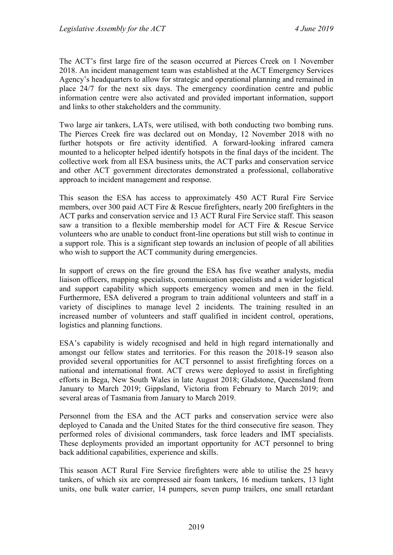The ACT's first large fire of the season occurred at Pierces Creek on 1 November 2018. An incident management team was established at the ACT Emergency Services Agency's headquarters to allow for strategic and operational planning and remained in place 24/7 for the next six days. The emergency coordination centre and public information centre were also activated and provided important information, support and links to other stakeholders and the community.

Two large air tankers, LATs, were utilised, with both conducting two bombing runs. The Pierces Creek fire was declared out on Monday, 12 November 2018 with no further hotspots or fire activity identified. A forward-looking infrared camera mounted to a helicopter helped identify hotspots in the final days of the incident. The collective work from all ESA business units, the ACT parks and conservation service and other ACT government directorates demonstrated a professional, collaborative approach to incident management and response.

This season the ESA has access to approximately 450 ACT Rural Fire Service members, over 300 paid ACT Fire & Rescue firefighters, nearly 200 firefighters in the ACT parks and conservation service and 13 ACT Rural Fire Service staff. This season saw a transition to a flexible membership model for ACT Fire & Rescue Service volunteers who are unable to conduct front-line operations but still wish to continue in a support role. This is a significant step towards an inclusion of people of all abilities who wish to support the ACT community during emergencies.

In support of crews on the fire ground the ESA has five weather analysts, media liaison officers, mapping specialists, communication specialists and a wider logistical and support capability which supports emergency women and men in the field. Furthermore, ESA delivered a program to train additional volunteers and staff in a variety of disciplines to manage level 2 incidents. The training resulted in an increased number of volunteers and staff qualified in incident control, operations, logistics and planning functions.

ESA's capability is widely recognised and held in high regard internationally and amongst our fellow states and territories. For this reason the 2018-19 season also provided several opportunities for ACT personnel to assist firefighting forces on a national and international front. ACT crews were deployed to assist in firefighting efforts in Bega, New South Wales in late August 2018; Gladstone, Queensland from January to March 2019; Gippsland, Victoria from February to March 2019; and several areas of Tasmania from January to March 2019.

Personnel from the ESA and the ACT parks and conservation service were also deployed to Canada and the United States for the third consecutive fire season. They performed roles of divisional commanders, task force leaders and IMT specialists. These deployments provided an important opportunity for ACT personnel to bring back additional capabilities, experience and skills.

This season ACT Rural Fire Service firefighters were able to utilise the 25 heavy tankers, of which six are compressed air foam tankers, 16 medium tankers, 13 light units, one bulk water carrier, 14 pumpers, seven pump trailers, one small retardant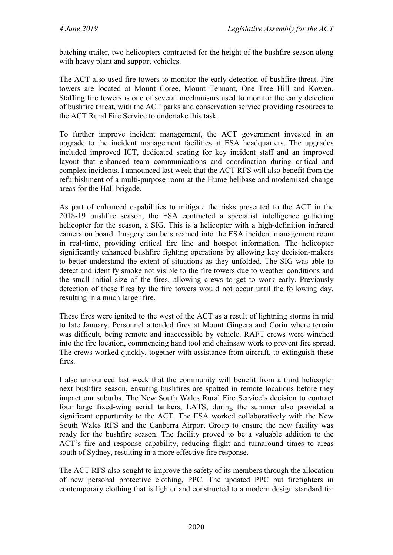batching trailer, two helicopters contracted for the height of the bushfire season along with heavy plant and support vehicles.

The ACT also used fire towers to monitor the early detection of bushfire threat. Fire towers are located at Mount Coree, Mount Tennant, One Tree Hill and Kowen. Staffing fire towers is one of several mechanisms used to monitor the early detection of bushfire threat, with the ACT parks and conservation service providing resources to the ACT Rural Fire Service to undertake this task.

To further improve incident management, the ACT government invested in an upgrade to the incident management facilities at ESA headquarters. The upgrades included improved ICT, dedicated seating for key incident staff and an improved layout that enhanced team communications and coordination during critical and complex incidents. I announced last week that the ACT RFS will also benefit from the refurbishment of a multi-purpose room at the Hume helibase and modernised change areas for the Hall brigade.

As part of enhanced capabilities to mitigate the risks presented to the ACT in the 2018-19 bushfire season, the ESA contracted a specialist intelligence gathering helicopter for the season, a SIG. This is a helicopter with a high-definition infrared camera on board. Imagery can be streamed into the ESA incident management room in real-time, providing critical fire line and hotspot information. The helicopter significantly enhanced bushfire fighting operations by allowing key decision-makers to better understand the extent of situations as they unfolded. The SIG was able to detect and identify smoke not visible to the fire towers due to weather conditions and the small initial size of the fires, allowing crews to get to work early. Previously detection of these fires by the fire towers would not occur until the following day, resulting in a much larger fire.

These fires were ignited to the west of the ACT as a result of lightning storms in mid to late January. Personnel attended fires at Mount Gingera and Corin where terrain was difficult, being remote and inaccessible by vehicle. RAFT crews were winched into the fire location, commencing hand tool and chainsaw work to prevent fire spread. The crews worked quickly, together with assistance from aircraft, to extinguish these fires.

I also announced last week that the community will benefit from a third helicopter next bushfire season, ensuring bushfires are spotted in remote locations before they impact our suburbs. The New South Wales Rural Fire Service's decision to contract four large fixed-wing aerial tankers, LATS, during the summer also provided a significant opportunity to the ACT. The ESA worked collaboratively with the New South Wales RFS and the Canberra Airport Group to ensure the new facility was ready for the bushfire season. The facility proved to be a valuable addition to the ACT's fire and response capability, reducing flight and turnaround times to areas south of Sydney, resulting in a more effective fire response.

The ACT RFS also sought to improve the safety of its members through the allocation of new personal protective clothing, PPC. The updated PPC put firefighters in contemporary clothing that is lighter and constructed to a modern design standard for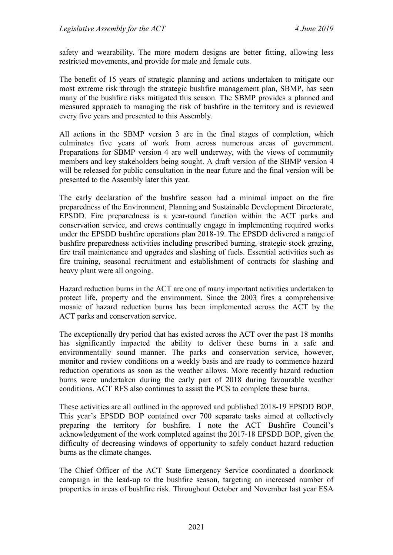safety and wearability. The more modern designs are better fitting, allowing less restricted movements, and provide for male and female cuts.

The benefit of 15 years of strategic planning and actions undertaken to mitigate our most extreme risk through the strategic bushfire management plan, SBMP, has seen many of the bushfire risks mitigated this season. The SBMP provides a planned and measured approach to managing the risk of bushfire in the territory and is reviewed every five years and presented to this Assembly.

All actions in the SBMP version 3 are in the final stages of completion, which culminates five years of work from across numerous areas of government. Preparations for SBMP version 4 are well underway, with the views of community members and key stakeholders being sought. A draft version of the SBMP version 4 will be released for public consultation in the near future and the final version will be presented to the Assembly later this year.

The early declaration of the bushfire season had a minimal impact on the fire preparedness of the Environment, Planning and Sustainable Development Directorate, EPSDD. Fire preparedness is a year-round function within the ACT parks and conservation service, and crews continually engage in implementing required works under the EPSDD bushfire operations plan 2018-19. The EPSDD delivered a range of bushfire preparedness activities including prescribed burning, strategic stock grazing, fire trail maintenance and upgrades and slashing of fuels. Essential activities such as fire training, seasonal recruitment and establishment of contracts for slashing and heavy plant were all ongoing.

Hazard reduction burns in the ACT are one of many important activities undertaken to protect life, property and the environment. Since the 2003 fires a comprehensive mosaic of hazard reduction burns has been implemented across the ACT by the ACT parks and conservation service.

The exceptionally dry period that has existed across the ACT over the past 18 months has significantly impacted the ability to deliver these burns in a safe and environmentally sound manner. The parks and conservation service, however, monitor and review conditions on a weekly basis and are ready to commence hazard reduction operations as soon as the weather allows. More recently hazard reduction burns were undertaken during the early part of 2018 during favourable weather conditions. ACT RFS also continues to assist the PCS to complete these burns.

These activities are all outlined in the approved and published 2018-19 EPSDD BOP. This year's EPSDD BOP contained over 700 separate tasks aimed at collectively preparing the territory for bushfire. I note the ACT Bushfire Council's acknowledgement of the work completed against the 2017-18 EPSDD BOP, given the difficulty of decreasing windows of opportunity to safely conduct hazard reduction burns as the climate changes.

The Chief Officer of the ACT State Emergency Service coordinated a doorknock campaign in the lead-up to the bushfire season, targeting an increased number of properties in areas of bushfire risk. Throughout October and November last year ESA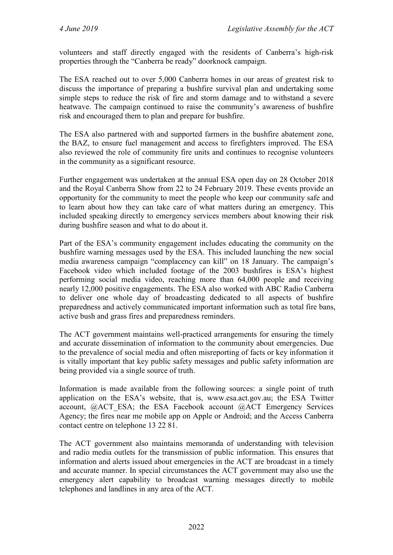volunteers and staff directly engaged with the residents of Canberra's high-risk properties through the "Canberra be ready" doorknock campaign.

The ESA reached out to over 5,000 Canberra homes in our areas of greatest risk to discuss the importance of preparing a bushfire survival plan and undertaking some simple steps to reduce the risk of fire and storm damage and to withstand a severe heatwave. The campaign continued to raise the community's awareness of bushfire risk and encouraged them to plan and prepare for bushfire.

The ESA also partnered with and supported farmers in the bushfire abatement zone, the BAZ, to ensure fuel management and access to firefighters improved. The ESA also reviewed the role of community fire units and continues to recognise volunteers in the community as a significant resource.

Further engagement was undertaken at the annual ESA open day on 28 October 2018 and the Royal Canberra Show from 22 to 24 February 2019. These events provide an opportunity for the community to meet the people who keep our community safe and to learn about how they can take care of what matters during an emergency. This included speaking directly to emergency services members about knowing their risk during bushfire season and what to do about it.

Part of the ESA's community engagement includes educating the community on the bushfire warning messages used by the ESA. This included launching the new social media awareness campaign "complacency can kill" on 18 January. The campaign's Facebook video which included footage of the 2003 bushfires is ESA's highest performing social media video, reaching more than 64,000 people and receiving nearly 12,000 positive engagements. The ESA also worked with ABC Radio Canberra to deliver one whole day of broadcasting dedicated to all aspects of bushfire preparedness and actively communicated important information such as total fire bans, active bush and grass fires and preparedness reminders.

The ACT government maintains well-practiced arrangements for ensuring the timely and accurate dissemination of information to the community about emergencies. Due to the prevalence of social media and often misreporting of facts or key information it is vitally important that key public safety messages and public safety information are being provided via a single source of truth.

Information is made available from the following sources: a single point of truth application on the ESA's website, that is, www.esa.act.gov.au; the ESA Twitter account, @ACT\_ESA; the ESA Facebook account @ACT Emergency Services Agency; the fires near me mobile app on Apple or Android; and the Access Canberra contact centre on telephone 13 22 81.

The ACT government also maintains memoranda of understanding with television and radio media outlets for the transmission of public information. This ensures that information and alerts issued about emergencies in the ACT are broadcast in a timely and accurate manner. In special circumstances the ACT government may also use the emergency alert capability to broadcast warning messages directly to mobile telephones and landlines in any area of the ACT.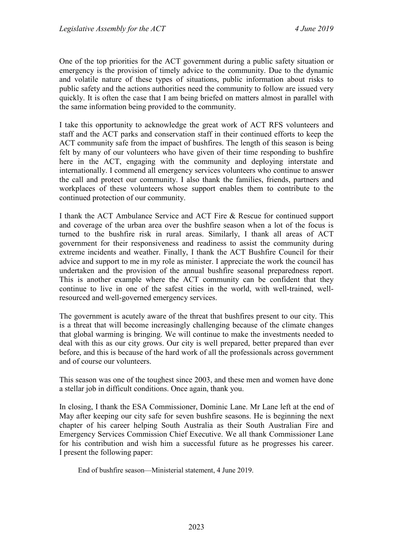One of the top priorities for the ACT government during a public safety situation or emergency is the provision of timely advice to the community. Due to the dynamic and volatile nature of these types of situations, public information about risks to public safety and the actions authorities need the community to follow are issued very quickly. It is often the case that I am being briefed on matters almost in parallel with the same information being provided to the community.

I take this opportunity to acknowledge the great work of ACT RFS volunteers and staff and the ACT parks and conservation staff in their continued efforts to keep the ACT community safe from the impact of bushfires. The length of this season is being felt by many of our volunteers who have given of their time responding to bushfire here in the ACT, engaging with the community and deploying interstate and internationally. I commend all emergency services volunteers who continue to answer the call and protect our community. I also thank the families, friends, partners and workplaces of these volunteers whose support enables them to contribute to the continued protection of our community.

I thank the ACT Ambulance Service and ACT Fire & Rescue for continued support and coverage of the urban area over the bushfire season when a lot of the focus is turned to the bushfire risk in rural areas. Similarly, I thank all areas of ACT government for their responsiveness and readiness to assist the community during extreme incidents and weather. Finally, I thank the ACT Bushfire Council for their advice and support to me in my role as minister. I appreciate the work the council has undertaken and the provision of the annual bushfire seasonal preparedness report. This is another example where the ACT community can be confident that they continue to live in one of the safest cities in the world, with well-trained, wellresourced and well-governed emergency services.

The government is acutely aware of the threat that bushfires present to our city. This is a threat that will become increasingly challenging because of the climate changes that global warming is bringing. We will continue to make the investments needed to deal with this as our city grows. Our city is well prepared, better prepared than ever before, and this is because of the hard work of all the professionals across government and of course our volunteers.

This season was one of the toughest since 2003, and these men and women have done a stellar job in difficult conditions. Once again, thank you.

In closing, I thank the ESA Commissioner, Dominic Lane. Mr Lane left at the end of May after keeping our city safe for seven bushfire seasons. He is beginning the next chapter of his career helping South Australia as their South Australian Fire and Emergency Services Commission Chief Executive. We all thank Commissioner Lane for his contribution and wish him a successful future as he progresses his career. I present the following paper:

End of bushfire season—Ministerial statement, 4 June 2019.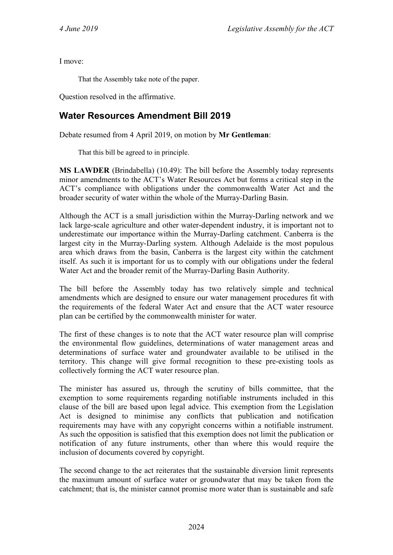I move:

That the Assembly take note of the paper.

Question resolved in the affirmative.

# <span id="page-20-0"></span>**Water Resources Amendment Bill 2019**

Debate resumed from 4 April 2019, on motion by **Mr Gentleman**:

That this bill be agreed to in principle.

**MS LAWDER** (Brindabella) (10.49): The bill before the Assembly today represents minor amendments to the ACT's Water Resources Act but forms a critical step in the ACT's compliance with obligations under the commonwealth Water Act and the broader security of water within the whole of the Murray-Darling Basin.

Although the ACT is a small jurisdiction within the Murray-Darling network and we lack large-scale agriculture and other water-dependent industry, it is important not to underestimate our importance within the Murray-Darling catchment. Canberra is the largest city in the Murray-Darling system. Although Adelaide is the most populous area which draws from the basin, Canberra is the largest city within the catchment itself. As such it is important for us to comply with our obligations under the federal Water Act and the broader remit of the Murray-Darling Basin Authority.

The bill before the Assembly today has two relatively simple and technical amendments which are designed to ensure our water management procedures fit with the requirements of the federal Water Act and ensure that the ACT water resource plan can be certified by the commonwealth minister for water.

The first of these changes is to note that the ACT water resource plan will comprise the environmental flow guidelines, determinations of water management areas and determinations of surface water and groundwater available to be utilised in the territory. This change will give formal recognition to these pre-existing tools as collectively forming the ACT water resource plan.

The minister has assured us, through the scrutiny of bills committee, that the exemption to some requirements regarding notifiable instruments included in this clause of the bill are based upon legal advice. This exemption from the Legislation Act is designed to minimise any conflicts that publication and notification requirements may have with any copyright concerns within a notifiable instrument. As such the opposition is satisfied that this exemption does not limit the publication or notification of any future instruments, other than where this would require the inclusion of documents covered by copyright.

The second change to the act reiterates that the sustainable diversion limit represents the maximum amount of surface water or groundwater that may be taken from the catchment; that is, the minister cannot promise more water than is sustainable and safe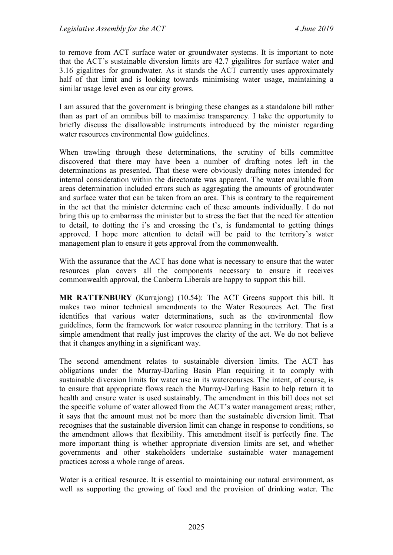to remove from ACT surface water or groundwater systems. It is important to note that the ACT's sustainable diversion limits are 42.7 gigalitres for surface water and 3.16 gigalitres for groundwater. As it stands the ACT currently uses approximately half of that limit and is looking towards minimising water usage, maintaining a similar usage level even as our city grows.

I am assured that the government is bringing these changes as a standalone bill rather than as part of an omnibus bill to maximise transparency. I take the opportunity to briefly discuss the disallowable instruments introduced by the minister regarding water resources environmental flow guidelines.

When trawling through these determinations, the scrutiny of bills committee discovered that there may have been a number of drafting notes left in the determinations as presented. That these were obviously drafting notes intended for internal consideration within the directorate was apparent. The water available from areas determination included errors such as aggregating the amounts of groundwater and surface water that can be taken from an area. This is contrary to the requirement in the act that the minister determine each of these amounts individually. I do not bring this up to embarrass the minister but to stress the fact that the need for attention to detail, to dotting the i's and crossing the t's, is fundamental to getting things approved. I hope more attention to detail will be paid to the territory's water management plan to ensure it gets approval from the commonwealth.

With the assurance that the ACT has done what is necessary to ensure that the water resources plan covers all the components necessary to ensure it receives commonwealth approval, the Canberra Liberals are happy to support this bill.

**MR RATTENBURY** (Kurrajong) (10.54): The ACT Greens support this bill. It makes two minor technical amendments to the Water Resources Act. The first identifies that various water determinations, such as the environmental flow guidelines, form the framework for water resource planning in the territory. That is a simple amendment that really just improves the clarity of the act. We do not believe that it changes anything in a significant way.

The second amendment relates to sustainable diversion limits. The ACT has obligations under the Murray-Darling Basin Plan requiring it to comply with sustainable diversion limits for water use in its watercourses. The intent, of course, is to ensure that appropriate flows reach the Murray-Darling Basin to help return it to health and ensure water is used sustainably. The amendment in this bill does not set the specific volume of water allowed from the ACT's water management areas; rather, it says that the amount must not be more than the sustainable diversion limit. That recognises that the sustainable diversion limit can change in response to conditions, so the amendment allows that flexibility. This amendment itself is perfectly fine. The more important thing is whether appropriate diversion limits are set, and whether governments and other stakeholders undertake sustainable water management practices across a whole range of areas.

Water is a critical resource. It is essential to maintaining our natural environment, as well as supporting the growing of food and the provision of drinking water. The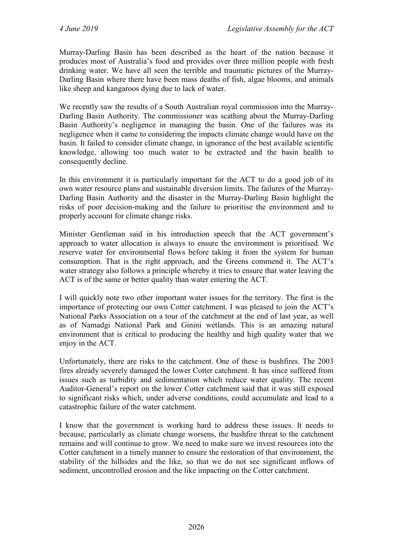Murray-Darling Basin has been described as the heart of the nation because it produces most of Australia's food and provides over three million people with fresh drinking water. We have all seen the terrible and traumatic pictures of the Murray-Darling Basin where there have been mass deaths of fish, algae blooms, and animals like sheep and kangaroos dying due to lack of water.

We recently saw the results of a South Australian royal commission into the Murray-Darling Basin Authority. The commissioner was scathing about the Murray-Darling Basin Authority's negligence in managing the basin. One of the failures was its negligence when it came to considering the impacts climate change would have on the basin. It failed to consider climate change, in ignorance of the best available scientific knowledge, allowing too much water to be extracted and the basin health to consequently decline.

In this environment it is particularly important for the ACT to do a good job of its own water resource plans and sustainable diversion limits. The failures of the Murray-Darling Basin Authority and the disaster in the Murray-Darling Basin highlight the risks of poor decision-making and the failure to prioritise the environment and to properly account for climate change risks.

Minister Gentleman said in his introduction speech that the ACT government's approach to water allocation is always to ensure the environment is prioritised. We reserve water for environmental flows before taking it from the system for human consumption. That is the right approach, and the Greens commend it. The ACT's water strategy also follows a principle whereby it tries to ensure that water leaving the ACT is of the same or better quality than water entering the ACT.

I will quickly note two other important water issues for the territory. The first is the importance of protecting our own Cotter catchment. I was pleased to join the ACT's National Parks Association on a tour of the catchment at the end of last year, as well as of Namadgi National Park and Ginini wetlands. This is an amazing natural environment that is critical to producing the healthy and high quality water that we enjoy in the ACT.

Unfortunately, there are risks to the catchment. One of these is bushfires. The 2003 fires already severely damaged the lower Cotter catchment. It has since suffered from issues such as turbidity and sedimentation which reduce water quality. The recent Auditor-General's report on the lower Cotter catchment said that it was still exposed to significant risks which, under adverse conditions, could accumulate and lead to a catastrophic failure of the water catchment.

I know that the government is working hard to address these issues. It needs to because, particularly as climate change worsens, the bushfire threat to the catchment remains and will continue to grow. We need to make sure we invest resources into the Cotter catchment in a timely manner to ensure the restoration of that environment, the stability of the hillsides and the like, so that we do not see significant inflows of sediment, uncontrolled erosion and the like impacting on the Cotter catchment.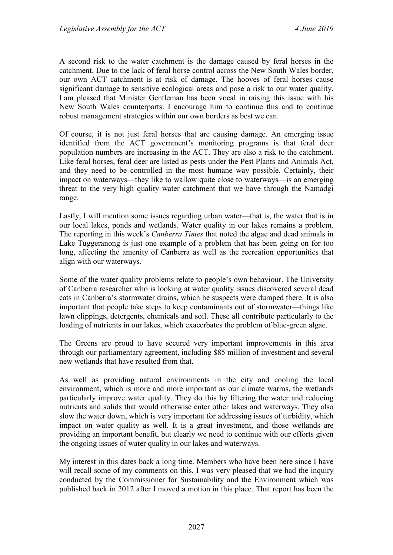A second risk to the water catchment is the damage caused by feral horses in the catchment. Due to the lack of feral horse control across the New South Wales border, our own ACT catchment is at risk of damage. The hooves of feral horses cause significant damage to sensitive ecological areas and pose a risk to our water quality. I am pleased that Minister Gentleman has been vocal in raising this issue with his New South Wales counterparts. I encourage him to continue this and to continue robust management strategies within our own borders as best we can.

Of course, it is not just feral horses that are causing damage. An emerging issue identified from the ACT government's monitoring programs is that feral deer population numbers are increasing in the ACT. They are also a risk to the catchment. Like feral horses, feral deer are listed as pests under the Pest Plants and Animals Act, and they need to be controlled in the most humane way possible. Certainly, their impact on waterways—they like to wallow quite close to waterways—is an emerging threat to the very high quality water catchment that we have through the Namadgi range.

Lastly, I will mention some issues regarding urban water—that is, the water that is in our local lakes, ponds and wetlands. Water quality in our lakes remains a problem. The reporting in this week's *Canberra Times* that noted the algae and dead animals in Lake Tuggeranong is just one example of a problem that has been going on for too long, affecting the amenity of Canberra as well as the recreation opportunities that align with our waterways.

Some of the water quality problems relate to people's own behaviour. The University of Canberra researcher who is looking at water quality issues discovered several dead cats in Canberra's stormwater drains, which he suspects were dumped there. It is also important that people take steps to keep contaminants out of stormwater—things like lawn clippings, detergents, chemicals and soil. These all contribute particularly to the loading of nutrients in our lakes, which exacerbates the problem of blue-green algae.

The Greens are proud to have secured very important improvements in this area through our parliamentary agreement, including \$85 million of investment and several new wetlands that have resulted from that.

As well as providing natural environments in the city and cooling the local environment, which is more and more important as our climate warms, the wetlands particularly improve water quality. They do this by filtering the water and reducing nutrients and solids that would otherwise enter other lakes and waterways. They also slow the water down, which is very important for addressing issues of turbidity, which impact on water quality as well. It is a great investment, and those wetlands are providing an important benefit, but clearly we need to continue with our efforts given the ongoing issues of water quality in our lakes and waterways.

My interest in this dates back a long time. Members who have been here since I have will recall some of my comments on this. I was very pleased that we had the inquiry conducted by the Commissioner for Sustainability and the Environment which was published back in 2012 after I moved a motion in this place. That report has been the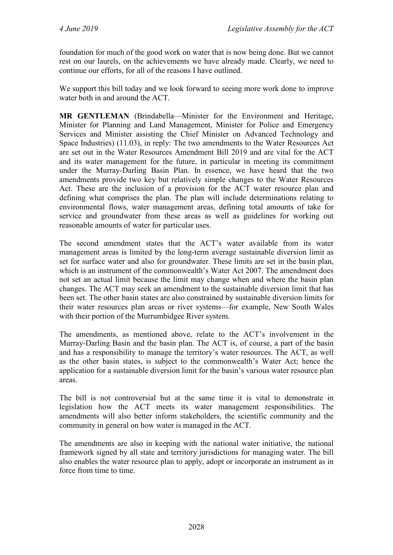foundation for much of the good work on water that is now being done. But we cannot rest on our laurels, on the achievements we have already made. Clearly, we need to continue our efforts, for all of the reasons I have outlined.

We support this bill today and we look forward to seeing more work done to improve water both in and around the ACT.

**MR GENTLEMAN** (Brindabella—Minister for the Environment and Heritage, Minister for Planning and Land Management, Minister for Police and Emergency Services and Minister assisting the Chief Minister on Advanced Technology and Space Industries) (11.03), in reply: The two amendments to the Water Resources Act are set out in the Water Resources Amendment Bill 2019 and are vital for the ACT and its water management for the future, in particular in meeting its commitment under the Murray-Darling Basin Plan. In essence, we have heard that the two amendments provide two key but relatively simple changes to the Water Resources Act. These are the inclusion of a provision for the ACT water resource plan and defining what comprises the plan. The plan will include determinations relating to environmental flows, water management areas, defining total amounts of take for service and groundwater from these areas as well as guidelines for working out reasonable amounts of water for particular uses.

The second amendment states that the ACT's water available from its water management areas is limited by the long-term average sustainable diversion limit as set for surface water and also for groundwater. These limits are set in the basin plan, which is an instrument of the commonwealth's Water Act 2007. The amendment does not set an actual limit because the limit may change when and where the basin plan changes. The ACT may seek an amendment to the sustainable diversion limit that has been set. The other basin states are also constrained by sustainable diversion limits for their water resources plan areas or river systems—for example, New South Wales with their portion of the Murrumbidgee River system.

The amendments, as mentioned above, relate to the ACT's involvement in the Murray-Darling Basin and the basin plan. The ACT is, of course, a part of the basin and has a responsibility to manage the territory's water resources. The ACT, as well as the other basin states, is subject to the commonwealth's Water Act; hence the application for a sustainable diversion limit for the basin's various water resource plan areas.

The bill is not controversial but at the same time it is vital to demonstrate in legislation how the ACT meets its water management responsibilities. The amendments will also better inform stakeholders, the scientific community and the community in general on how water is managed in the ACT.

The amendments are also in keeping with the national water initiative, the national framework signed by all state and territory jurisdictions for managing water. The bill also enables the water resource plan to apply, adopt or incorporate an instrument as in force from time to time.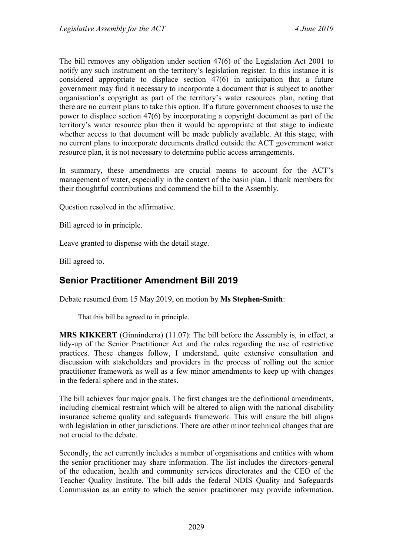The bill removes any obligation under section 47(6) of the Legislation Act 2001 to notify any such instrument on the territory's legislation register. In this instance it is considered appropriate to displace section 47(6) in anticipation that a future government may find it necessary to incorporate a document that is subject to another organisation's copyright as part of the territory's water resources plan, noting that there are no current plans to take this option. If a future government chooses to use the power to displace section 47(6) by incorporating a copyright document as part of the territory's water resource plan then it would be appropriate at that stage to indicate whether access to that document will be made publicly available. At this stage, with no current plans to incorporate documents drafted outside the ACT government water resource plan, it is not necessary to determine public access arrangements.

In summary, these amendments are crucial means to account for the ACT's management of water, especially in the context of the basin plan. I thank members for their thoughtful contributions and commend the bill to the Assembly.

Question resolved in the affirmative.

Bill agreed to in principle.

Leave granted to dispense with the detail stage.

Bill agreed to.

# <span id="page-25-0"></span>**Senior Practitioner Amendment Bill 2019**

Debate resumed from 15 May 2019, on motion by **Ms Stephen-Smith**:

That this bill be agreed to in principle.

**MRS KIKKERT** (Ginninderra) (11.07): The bill before the Assembly is, in effect, a tidy-up of the Senior Practitioner Act and the rules regarding the use of restrictive practices. These changes follow, I understand, quite extensive consultation and discussion with stakeholders and providers in the process of rolling out the senior practitioner framework as well as a few minor amendments to keep up with changes in the federal sphere and in the states.

The bill achieves four major goals. The first changes are the definitional amendments, including chemical restraint which will be altered to align with the national disability insurance scheme quality and safeguards framework. This will ensure the bill aligns with legislation in other jurisdictions. There are other minor technical changes that are not crucial to the debate.

Secondly, the act currently includes a number of organisations and entities with whom the senior practitioner may share information. The list includes the directors-general of the education, health and community services directorates and the CEO of the Teacher Quality Institute. The bill adds the federal NDIS Quality and Safeguards Commission as an entity to which the senior practitioner may provide information.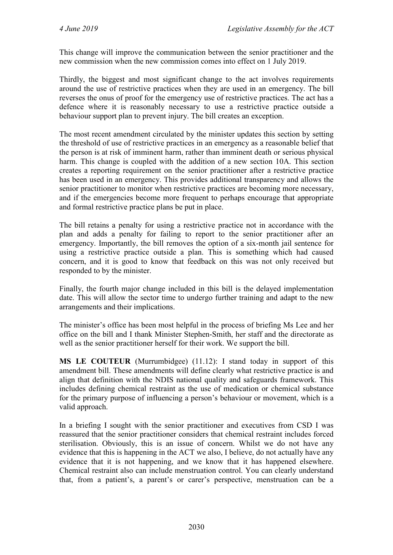This change will improve the communication between the senior practitioner and the new commission when the new commission comes into effect on 1 July 2019.

Thirdly, the biggest and most significant change to the act involves requirements around the use of restrictive practices when they are used in an emergency. The bill reverses the onus of proof for the emergency use of restrictive practices. The act has a defence where it is reasonably necessary to use a restrictive practice outside a behaviour support plan to prevent injury. The bill creates an exception.

The most recent amendment circulated by the minister updates this section by setting the threshold of use of restrictive practices in an emergency as a reasonable belief that the person is at risk of imminent harm, rather than imminent death or serious physical harm. This change is coupled with the addition of a new section 10A. This section creates a reporting requirement on the senior practitioner after a restrictive practice has been used in an emergency. This provides additional transparency and allows the senior practitioner to monitor when restrictive practices are becoming more necessary, and if the emergencies become more frequent to perhaps encourage that appropriate and formal restrictive practice plans be put in place.

The bill retains a penalty for using a restrictive practice not in accordance with the plan and adds a penalty for failing to report to the senior practitioner after an emergency. Importantly, the bill removes the option of a six-month jail sentence for using a restrictive practice outside a plan. This is something which had caused concern, and it is good to know that feedback on this was not only received but responded to by the minister.

Finally, the fourth major change included in this bill is the delayed implementation date. This will allow the sector time to undergo further training and adapt to the new arrangements and their implications.

The minister's office has been most helpful in the process of briefing Ms Lee and her office on the bill and I thank Minister Stephen-Smith, her staff and the directorate as well as the senior practitioner herself for their work. We support the bill.

**MS LE COUTEUR** (Murrumbidgee) (11.12): I stand today in support of this amendment bill. These amendments will define clearly what restrictive practice is and align that definition with the NDIS national quality and safeguards framework. This includes defining chemical restraint as the use of medication or chemical substance for the primary purpose of influencing a person's behaviour or movement, which is a valid approach.

In a briefing I sought with the senior practitioner and executives from CSD I was reassured that the senior practitioner considers that chemical restraint includes forced sterilisation. Obviously, this is an issue of concern. Whilst we do not have any evidence that this is happening in the ACT we also, I believe, do not actually have any evidence that it is not happening, and we know that it has happened elsewhere. Chemical restraint also can include menstruation control. You can clearly understand that, from a patient's, a parent's or carer's perspective, menstruation can be a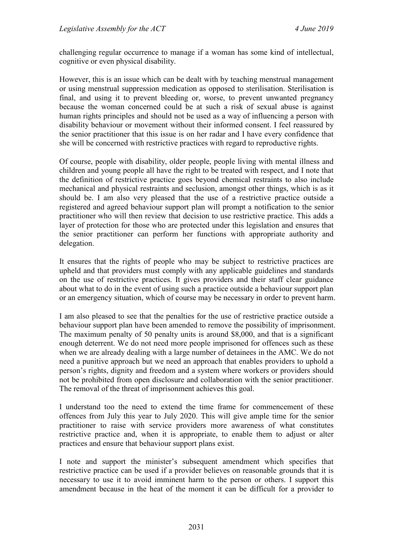challenging regular occurrence to manage if a woman has some kind of intellectual, cognitive or even physical disability.

However, this is an issue which can be dealt with by teaching menstrual management or using menstrual suppression medication as opposed to sterilisation. Sterilisation is final, and using it to prevent bleeding or, worse, to prevent unwanted pregnancy because the woman concerned could be at such a risk of sexual abuse is against human rights principles and should not be used as a way of influencing a person with disability behaviour or movement without their informed consent. I feel reassured by the senior practitioner that this issue is on her radar and I have every confidence that she will be concerned with restrictive practices with regard to reproductive rights.

Of course, people with disability, older people, people living with mental illness and children and young people all have the right to be treated with respect, and I note that the definition of restrictive practice goes beyond chemical restraints to also include mechanical and physical restraints and seclusion, amongst other things, which is as it should be. I am also very pleased that the use of a restrictive practice outside a registered and agreed behaviour support plan will prompt a notification to the senior practitioner who will then review that decision to use restrictive practice. This adds a layer of protection for those who are protected under this legislation and ensures that the senior practitioner can perform her functions with appropriate authority and delegation.

It ensures that the rights of people who may be subject to restrictive practices are upheld and that providers must comply with any applicable guidelines and standards on the use of restrictive practices. It gives providers and their staff clear guidance about what to do in the event of using such a practice outside a behaviour support plan or an emergency situation, which of course may be necessary in order to prevent harm.

I am also pleased to see that the penalties for the use of restrictive practice outside a behaviour support plan have been amended to remove the possibility of imprisonment. The maximum penalty of 50 penalty units is around \$8,000, and that is a significant enough deterrent. We do not need more people imprisoned for offences such as these when we are already dealing with a large number of detainees in the AMC. We do not need a punitive approach but we need an approach that enables providers to uphold a person's rights, dignity and freedom and a system where workers or providers should not be prohibited from open disclosure and collaboration with the senior practitioner. The removal of the threat of imprisonment achieves this goal.

I understand too the need to extend the time frame for commencement of these offences from July this year to July 2020. This will give ample time for the senior practitioner to raise with service providers more awareness of what constitutes restrictive practice and, when it is appropriate, to enable them to adjust or alter practices and ensure that behaviour support plans exist.

I note and support the minister's subsequent amendment which specifies that restrictive practice can be used if a provider believes on reasonable grounds that it is necessary to use it to avoid imminent harm to the person or others. I support this amendment because in the heat of the moment it can be difficult for a provider to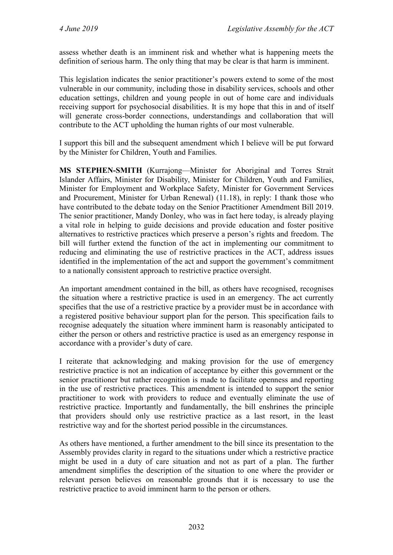assess whether death is an imminent risk and whether what is happening meets the definition of serious harm. The only thing that may be clear is that harm is imminent.

This legislation indicates the senior practitioner's powers extend to some of the most vulnerable in our community, including those in disability services, schools and other education settings, children and young people in out of home care and individuals receiving support for psychosocial disabilities. It is my hope that this in and of itself will generate cross-border connections, understandings and collaboration that will contribute to the ACT upholding the human rights of our most vulnerable.

I support this bill and the subsequent amendment which I believe will be put forward by the Minister for Children, Youth and Families.

**MS STEPHEN-SMITH** (Kurrajong—Minister for Aboriginal and Torres Strait Islander Affairs, Minister for Disability, Minister for Children, Youth and Families, Minister for Employment and Workplace Safety, Minister for Government Services and Procurement, Minister for Urban Renewal) (11.18), in reply: I thank those who have contributed to the debate today on the Senior Practitioner Amendment Bill 2019. The senior practitioner, Mandy Donley, who was in fact here today, is already playing a vital role in helping to guide decisions and provide education and foster positive alternatives to restrictive practices which preserve a person's rights and freedom. The bill will further extend the function of the act in implementing our commitment to reducing and eliminating the use of restrictive practices in the ACT, address issues identified in the implementation of the act and support the government's commitment to a nationally consistent approach to restrictive practice oversight.

An important amendment contained in the bill, as others have recognised, recognises the situation where a restrictive practice is used in an emergency. The act currently specifies that the use of a restrictive practice by a provider must be in accordance with a registered positive behaviour support plan for the person. This specification fails to recognise adequately the situation where imminent harm is reasonably anticipated to either the person or others and restrictive practice is used as an emergency response in accordance with a provider's duty of care.

I reiterate that acknowledging and making provision for the use of emergency restrictive practice is not an indication of acceptance by either this government or the senior practitioner but rather recognition is made to facilitate openness and reporting in the use of restrictive practices. This amendment is intended to support the senior practitioner to work with providers to reduce and eventually eliminate the use of restrictive practice. Importantly and fundamentally, the bill enshrines the principle that providers should only use restrictive practice as a last resort, in the least restrictive way and for the shortest period possible in the circumstances.

As others have mentioned, a further amendment to the bill since its presentation to the Assembly provides clarity in regard to the situations under which a restrictive practice might be used in a duty of care situation and not as part of a plan. The further amendment simplifies the description of the situation to one where the provider or relevant person believes on reasonable grounds that it is necessary to use the restrictive practice to avoid imminent harm to the person or others.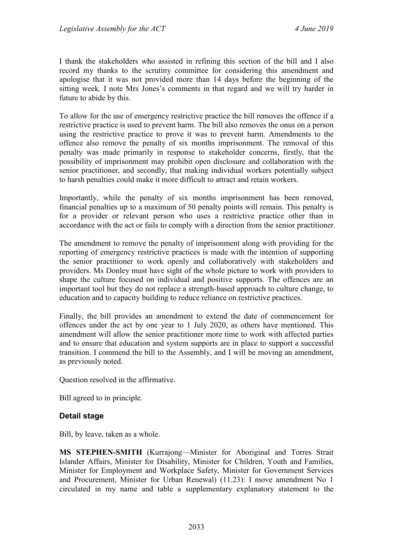I thank the stakeholders who assisted in refining this section of the bill and I also record my thanks to the scrutiny committee for considering this amendment and apologise that it was not provided more than 14 days before the beginning of the sitting week. I note Mrs Jones's comments in that regard and we will try harder in future to abide by this.

To allow for the use of emergency restrictive practice the bill removes the offence if a restrictive practice is used to prevent harm. The bill also removes the onus on a person using the restrictive practice to prove it was to prevent harm. Amendments to the offence also remove the penalty of six months imprisonment. The removal of this penalty was made primarily in response to stakeholder concerns, firstly, that the possibility of imprisonment may prohibit open disclosure and collaboration with the senior practitioner, and secondly, that making individual workers potentially subject to harsh penalties could make it more difficult to attract and retain workers.

Importantly, while the penalty of six months imprisonment has been removed, financial penalties up to a maximum of 50 penalty points will remain. This penalty is for a provider or relevant person who uses a restrictive practice other than in accordance with the act or fails to comply with a direction from the senior practitioner.

The amendment to remove the penalty of imprisonment along with providing for the reporting of emergency restrictive practices is made with the intention of supporting the senior practitioner to work openly and collaboratively with stakeholders and providers. Ms Donley must have sight of the whole picture to work with providers to shape the culture focused on individual and positive supports. The offences are an important tool but they do not replace a strength-based approach to culture change, to education and to capacity building to reduce reliance on restrictive practices.

Finally, the bill provides an amendment to extend the date of commencement for offences under the act by one year to 1 July 2020, as others have mentioned. This amendment will allow the senior practitioner more time to work with affected parties and to ensure that education and system supports are in place to support a successful transition. I commend the bill to the Assembly, and I will be moving an amendment, as previously noted.

Question resolved in the affirmative.

Bill agreed to in principle.

#### **Detail stage**

Bill, by leave, taken as a whole.

**MS STEPHEN-SMITH** (Kurrajong—Minister for Aboriginal and Torres Strait Islander Affairs, Minister for Disability, Minister for Children, Youth and Families, Minister for Employment and Workplace Safety, Minister for Government Services and Procurement, Minister for Urban Renewal) (11.23): I move amendment No 1 circulated in my name and table a supplementary explanatory statement to the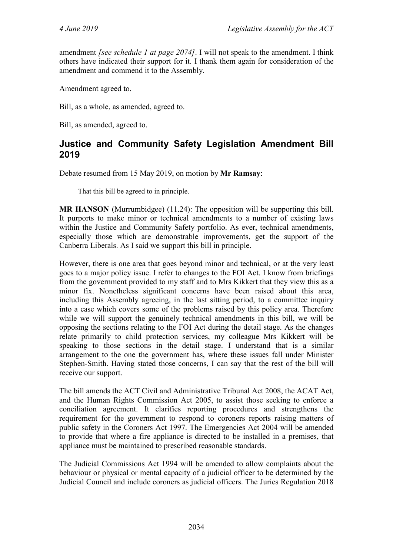amendment *[see schedule 1 at page 2074]*. I will not speak to the amendment. I think others have indicated their support for it. I thank them again for consideration of the amendment and commend it to the Assembly.

Amendment agreed to.

Bill, as a whole, as amended, agreed to.

Bill, as amended, agreed to.

# <span id="page-30-0"></span>**Justice and Community Safety Legislation Amendment Bill 2019**

Debate resumed from 15 May 2019, on motion by **Mr Ramsay**:

That this bill be agreed to in principle.

**MR HANSON** (Murrumbidgee) (11.24): The opposition will be supporting this bill. It purports to make minor or technical amendments to a number of existing laws within the Justice and Community Safety portfolio. As ever, technical amendments, especially those which are demonstrable improvements, get the support of the Canberra Liberals. As I said we support this bill in principle.

However, there is one area that goes beyond minor and technical, or at the very least goes to a major policy issue. I refer to changes to the FOI Act. I know from briefings from the government provided to my staff and to Mrs Kikkert that they view this as a minor fix. Nonetheless significant concerns have been raised about this area, including this Assembly agreeing, in the last sitting period, to a committee inquiry into a case which covers some of the problems raised by this policy area. Therefore while we will support the genuinely technical amendments in this bill, we will be opposing the sections relating to the FOI Act during the detail stage. As the changes relate primarily to child protection services, my colleague Mrs Kikkert will be speaking to those sections in the detail stage. I understand that is a similar arrangement to the one the government has, where these issues fall under Minister Stephen-Smith. Having stated those concerns, I can say that the rest of the bill will receive our support.

The bill amends the ACT Civil and Administrative Tribunal Act 2008, the ACAT Act, and the Human Rights Commission Act 2005, to assist those seeking to enforce a conciliation agreement. It clarifies reporting procedures and strengthens the requirement for the government to respond to coroners reports raising matters of public safety in the Coroners Act 1997. The Emergencies Act 2004 will be amended to provide that where a fire appliance is directed to be installed in a premises, that appliance must be maintained to prescribed reasonable standards.

The Judicial Commissions Act 1994 will be amended to allow complaints about the behaviour or physical or mental capacity of a judicial officer to be determined by the Judicial Council and include coroners as judicial officers. The Juries Regulation 2018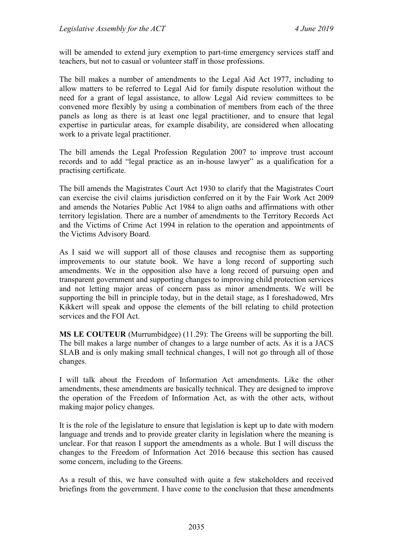will be amended to extend jury exemption to part-time emergency services staff and teachers, but not to casual or volunteer staff in those professions.

The bill makes a number of amendments to the Legal Aid Act 1977, including to allow matters to be referred to Legal Aid for family dispute resolution without the need for a grant of legal assistance, to allow Legal Aid review committees to be convened more flexibly by using a combination of members from each of the three panels as long as there is at least one legal practitioner, and to ensure that legal expertise in particular areas, for example disability, are considered when allocating work to a private legal practitioner.

The bill amends the Legal Profession Regulation 2007 to improve trust account records and to add "legal practice as an in-house lawyer" as a qualification for a practising certificate.

The bill amends the Magistrates Court Act 1930 to clarify that the Magistrates Court can exercise the civil claims jurisdiction conferred on it by the Fair Work Act 2009 and amends the Notaries Public Act 1984 to align oaths and affirmations with other territory legislation. There are a number of amendments to the Territory Records Act and the Victims of Crime Act 1994 in relation to the operation and appointments of the Victims Advisory Board.

As I said we will support all of those clauses and recognise them as supporting improvements to our statute book. We have a long record of supporting such amendments. We in the opposition also have a long record of pursuing open and transparent government and supporting changes to improving child protection services and not letting major areas of concern pass as minor amendments. We will be supporting the bill in principle today, but in the detail stage, as I foreshadowed, Mrs Kikkert will speak and oppose the elements of the bill relating to child protection services and the FOI Act.

**MS LE COUTEUR** (Murrumbidgee) (11.29): The Greens will be supporting the bill. The bill makes a large number of changes to a large number of acts. As it is a JACS SLAB and is only making small technical changes, I will not go through all of those changes.

I will talk about the Freedom of Information Act amendments. Like the other amendments, these amendments are basically technical. They are designed to improve the operation of the Freedom of Information Act, as with the other acts, without making major policy changes.

It is the role of the legislature to ensure that legislation is kept up to date with modern language and trends and to provide greater clarity in legislation where the meaning is unclear. For that reason I support the amendments as a whole. But I will discuss the changes to the Freedom of Information Act 2016 because this section has caused some concern, including to the Greens.

As a result of this, we have consulted with quite a few stakeholders and received briefings from the government. I have come to the conclusion that these amendments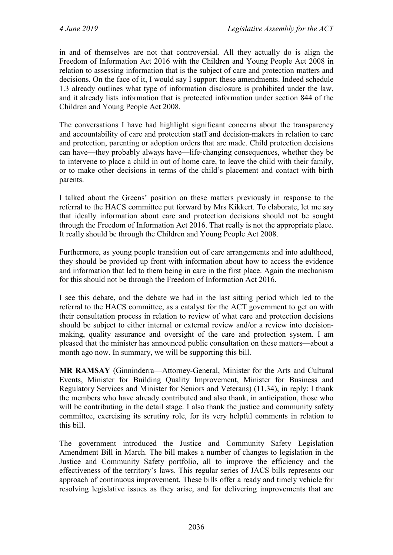in and of themselves are not that controversial. All they actually do is align the Freedom of Information Act 2016 with the Children and Young People Act 2008 in relation to assessing information that is the subject of care and protection matters and decisions. On the face of it, I would say I support these amendments. Indeed schedule 1.3 already outlines what type of information disclosure is prohibited under the law, and it already lists information that is protected information under section 844 of the Children and Young People Act 2008.

The conversations I have had highlight significant concerns about the transparency and accountability of care and protection staff and decision-makers in relation to care and protection, parenting or adoption orders that are made. Child protection decisions can have—they probably always have—life-changing consequences, whether they be to intervene to place a child in out of home care, to leave the child with their family, or to make other decisions in terms of the child's placement and contact with birth parents.

I talked about the Greens' position on these matters previously in response to the referral to the HACS committee put forward by Mrs Kikkert. To elaborate, let me say that ideally information about care and protection decisions should not be sought through the Freedom of Information Act 2016. That really is not the appropriate place. It really should be through the Children and Young People Act 2008.

Furthermore, as young people transition out of care arrangements and into adulthood, they should be provided up front with information about how to access the evidence and information that led to them being in care in the first place. Again the mechanism for this should not be through the Freedom of Information Act 2016.

I see this debate, and the debate we had in the last sitting period which led to the referral to the HACS committee, as a catalyst for the ACT government to get on with their consultation process in relation to review of what care and protection decisions should be subject to either internal or external review and/or a review into decisionmaking, quality assurance and oversight of the care and protection system. I am pleased that the minister has announced public consultation on these matters—about a month ago now. In summary, we will be supporting this bill.

**MR RAMSAY** (Ginninderra—Attorney-General, Minister for the Arts and Cultural Events, Minister for Building Quality Improvement, Minister for Business and Regulatory Services and Minister for Seniors and Veterans) (11.34), in reply: I thank the members who have already contributed and also thank, in anticipation, those who will be contributing in the detail stage. I also thank the justice and community safety committee, exercising its scrutiny role, for its very helpful comments in relation to this bill.

The government introduced the Justice and Community Safety Legislation Amendment Bill in March. The bill makes a number of changes to legislation in the Justice and Community Safety portfolio, all to improve the efficiency and the effectiveness of the territory's laws. This regular series of JACS bills represents our approach of continuous improvement. These bills offer a ready and timely vehicle for resolving legislative issues as they arise, and for delivering improvements that are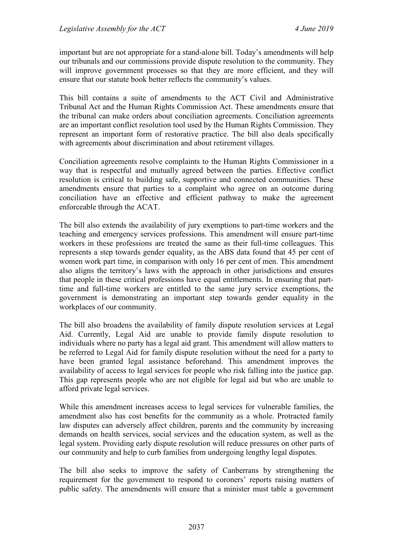important but are not appropriate for a stand-alone bill. Today's amendments will help our tribunals and our commissions provide dispute resolution to the community. They will improve government processes so that they are more efficient, and they will ensure that our statute book better reflects the community's values.

This bill contains a suite of amendments to the ACT Civil and Administrative Tribunal Act and the Human Rights Commission Act. These amendments ensure that the tribunal can make orders about conciliation agreements. Conciliation agreements are an important conflict resolution tool used by the Human Rights Commission. They represent an important form of restorative practice. The bill also deals specifically with agreements about discrimination and about retirement villages.

Conciliation agreements resolve complaints to the Human Rights Commissioner in a way that is respectful and mutually agreed between the parties. Effective conflict resolution is critical to building safe, supportive and connected communities. These amendments ensure that parties to a complaint who agree on an outcome during conciliation have an effective and efficient pathway to make the agreement enforceable through the ACAT.

The bill also extends the availability of jury exemptions to part-time workers and the teaching and emergency services professions. This amendment will ensure part-time workers in these professions are treated the same as their full-time colleagues. This represents a step towards gender equality, as the ABS data found that 45 per cent of women work part time, in comparison with only 16 per cent of men. This amendment also aligns the territory's laws with the approach in other jurisdictions and ensures that people in these critical professions have equal entitlements. In ensuring that parttime and full-time workers are entitled to the same jury service exemptions, the government is demonstrating an important step towards gender equality in the workplaces of our community.

The bill also broadens the availability of family dispute resolution services at Legal Aid. Currently, Legal Aid are unable to provide family dispute resolution to individuals where no party has a legal aid grant. This amendment will allow matters to be referred to Legal Aid for family dispute resolution without the need for a party to have been granted legal assistance beforehand. This amendment improves the availability of access to legal services for people who risk falling into the justice gap. This gap represents people who are not eligible for legal aid but who are unable to afford private legal services.

While this amendment increases access to legal services for vulnerable families, the amendment also has cost benefits for the community as a whole. Protracted family law disputes can adversely affect children, parents and the community by increasing demands on health services, social services and the education system, as well as the legal system. Providing early dispute resolution will reduce pressures on other parts of our community and help to curb families from undergoing lengthy legal disputes.

The bill also seeks to improve the safety of Canberrans by strengthening the requirement for the government to respond to coroners' reports raising matters of public safety. The amendments will ensure that a minister must table a government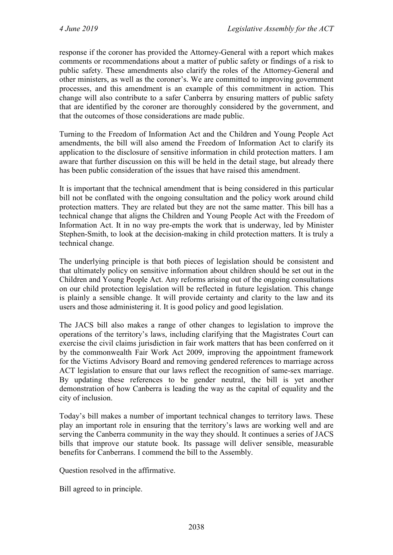response if the coroner has provided the Attorney-General with a report which makes comments or recommendations about a matter of public safety or findings of a risk to public safety. These amendments also clarify the roles of the Attorney-General and other ministers, as well as the coroner's. We are committed to improving government processes, and this amendment is an example of this commitment in action. This change will also contribute to a safer Canberra by ensuring matters of public safety that are identified by the coroner are thoroughly considered by the government, and that the outcomes of those considerations are made public.

Turning to the Freedom of Information Act and the Children and Young People Act amendments, the bill will also amend the Freedom of Information Act to clarify its application to the disclosure of sensitive information in child protection matters. I am aware that further discussion on this will be held in the detail stage, but already there has been public consideration of the issues that have raised this amendment.

It is important that the technical amendment that is being considered in this particular bill not be conflated with the ongoing consultation and the policy work around child protection matters. They are related but they are not the same matter. This bill has a technical change that aligns the Children and Young People Act with the Freedom of Information Act. It in no way pre-empts the work that is underway, led by Minister Stephen-Smith, to look at the decision-making in child protection matters. It is truly a technical change.

The underlying principle is that both pieces of legislation should be consistent and that ultimately policy on sensitive information about children should be set out in the Children and Young People Act. Any reforms arising out of the ongoing consultations on our child protection legislation will be reflected in future legislation. This change is plainly a sensible change. It will provide certainty and clarity to the law and its users and those administering it. It is good policy and good legislation.

The JACS bill also makes a range of other changes to legislation to improve the operations of the territory's laws, including clarifying that the Magistrates Court can exercise the civil claims jurisdiction in fair work matters that has been conferred on it by the commonwealth Fair Work Act 2009, improving the appointment framework for the Victims Advisory Board and removing gendered references to marriage across ACT legislation to ensure that our laws reflect the recognition of same-sex marriage. By updating these references to be gender neutral, the bill is yet another demonstration of how Canberra is leading the way as the capital of equality and the city of inclusion.

Today's bill makes a number of important technical changes to territory laws. These play an important role in ensuring that the territory's laws are working well and are serving the Canberra community in the way they should. It continues a series of JACS bills that improve our statute book. Its passage will deliver sensible, measurable benefits for Canberrans. I commend the bill to the Assembly.

Question resolved in the affirmative.

Bill agreed to in principle.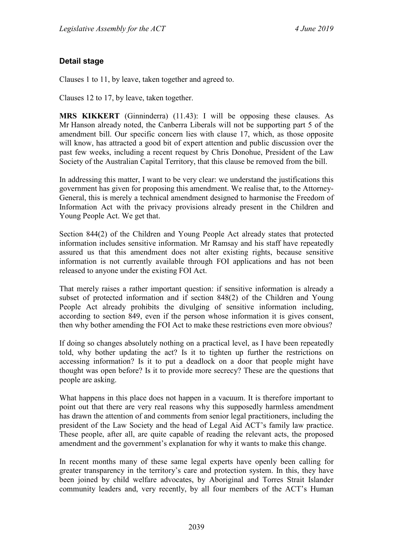## **Detail stage**

Clauses 1 to 11, by leave, taken together and agreed to.

Clauses 12 to 17, by leave, taken together.

**MRS KIKKERT** (Ginninderra) (11.43): I will be opposing these clauses. As Mr Hanson already noted, the Canberra Liberals will not be supporting part 5 of the amendment bill. Our specific concern lies with clause 17, which, as those opposite will know, has attracted a good bit of expert attention and public discussion over the past few weeks, including a recent request by Chris Donohue, President of the Law Society of the Australian Capital Territory, that this clause be removed from the bill.

In addressing this matter, I want to be very clear: we understand the justifications this government has given for proposing this amendment. We realise that, to the Attorney-General, this is merely a technical amendment designed to harmonise the Freedom of Information Act with the privacy provisions already present in the Children and Young People Act. We get that.

Section 844(2) of the Children and Young People Act already states that protected information includes sensitive information. Mr Ramsay and his staff have repeatedly assured us that this amendment does not alter existing rights, because sensitive information is not currently available through FOI applications and has not been released to anyone under the existing FOI Act.

That merely raises a rather important question: if sensitive information is already a subset of protected information and if section 848(2) of the Children and Young People Act already prohibits the divulging of sensitive information including, according to section 849, even if the person whose information it is gives consent, then why bother amending the FOI Act to make these restrictions even more obvious?

If doing so changes absolutely nothing on a practical level, as I have been repeatedly told, why bother updating the act? Is it to tighten up further the restrictions on accessing information? Is it to put a deadlock on a door that people might have thought was open before? Is it to provide more secrecy? These are the questions that people are asking.

What happens in this place does not happen in a vacuum. It is therefore important to point out that there are very real reasons why this supposedly harmless amendment has drawn the attention of and comments from senior legal practitioners, including the president of the Law Society and the head of Legal Aid ACT's family law practice. These people, after all, are quite capable of reading the relevant acts, the proposed amendment and the government's explanation for why it wants to make this change.

In recent months many of these same legal experts have openly been calling for greater transparency in the territory's care and protection system. In this, they have been joined by child welfare advocates, by Aboriginal and Torres Strait Islander community leaders and, very recently, by all four members of the ACT's Human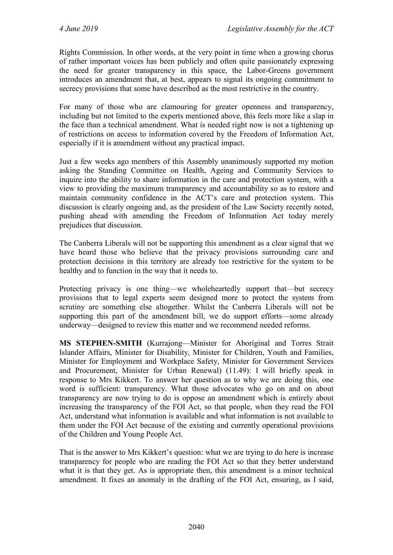Rights Commission. In other words, at the very point in time when a growing chorus of rather important voices has been publicly and often quite passionately expressing the need for greater transparency in this space, the Labor-Greens government introduces an amendment that, at best, appears to signal its ongoing commitment to secrecy provisions that some have described as the most restrictive in the country.

For many of those who are clamouring for greater openness and transparency, including but not limited to the experts mentioned above, this feels more like a slap in the face than a technical amendment. What is needed right now is not a tightening up of restrictions on access to information covered by the Freedom of Information Act, especially if it is amendment without any practical impact.

Just a few weeks ago members of this Assembly unanimously supported my motion asking the Standing Committee on Health, Ageing and Community Services to inquire into the ability to share information in the care and protection system, with a view to providing the maximum transparency and accountability so as to restore and maintain community confidence in the ACT's care and protection system. This discussion is clearly ongoing and, as the president of the Law Society recently noted, pushing ahead with amending the Freedom of Information Act today merely prejudices that discussion.

The Canberra Liberals will not be supporting this amendment as a clear signal that we have heard those who believe that the privacy provisions surrounding care and protection decisions in this territory are already too restrictive for the system to be healthy and to function in the way that it needs to.

Protecting privacy is one thing—we wholeheartedly support that—but secrecy provisions that to legal experts seem designed more to protect the system from scrutiny are something else altogether. Whilst the Canberra Liberals will not be supporting this part of the amendment bill, we do support efforts—some already underway—designed to review this matter and we recommend needed reforms.

**MS STEPHEN-SMITH** (Kurrajong—Minister for Aboriginal and Torres Strait Islander Affairs, Minister for Disability, Minister for Children, Youth and Families, Minister for Employment and Workplace Safety, Minister for Government Services and Procurement, Minister for Urban Renewal) (11.49): I will briefly speak in response to Mrs Kikkert. To answer her question as to why we are doing this, one word is sufficient: transparency. What those advocates who go on and on about transparency are now trying to do is oppose an amendment which is entirely about increasing the transparency of the FOI Act, so that people, when they read the FOI Act, understand what information is available and what information is not available to them under the FOI Act because of the existing and currently operational provisions of the Children and Young People Act.

That is the answer to Mrs Kikkert's question: what we are trying to do here is increase transparency for people who are reading the FOI Act so that they better understand what it is that they get. As is appropriate then, this amendment is a minor technical amendment. It fixes an anomaly in the drafting of the FOI Act, ensuring, as I said,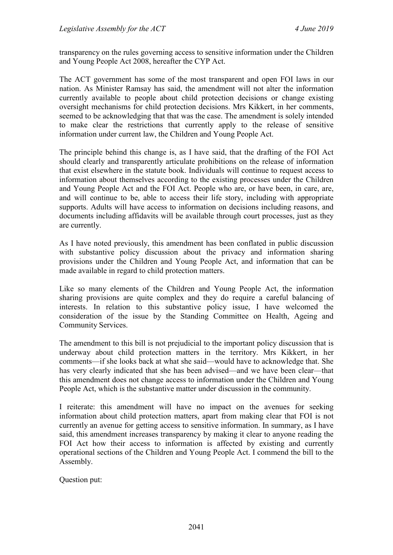transparency on the rules governing access to sensitive information under the Children and Young People Act 2008, hereafter the CYP Act.

The ACT government has some of the most transparent and open FOI laws in our nation. As Minister Ramsay has said, the amendment will not alter the information currently available to people about child protection decisions or change existing oversight mechanisms for child protection decisions. Mrs Kikkert, in her comments, seemed to be acknowledging that that was the case. The amendment is solely intended to make clear the restrictions that currently apply to the release of sensitive information under current law, the Children and Young People Act.

The principle behind this change is, as I have said, that the drafting of the FOI Act should clearly and transparently articulate prohibitions on the release of information that exist elsewhere in the statute book. Individuals will continue to request access to information about themselves according to the existing processes under the Children and Young People Act and the FOI Act. People who are, or have been, in care, are, and will continue to be, able to access their life story, including with appropriate supports. Adults will have access to information on decisions including reasons, and documents including affidavits will be available through court processes, just as they are currently.

As I have noted previously, this amendment has been conflated in public discussion with substantive policy discussion about the privacy and information sharing provisions under the Children and Young People Act, and information that can be made available in regard to child protection matters.

Like so many elements of the Children and Young People Act, the information sharing provisions are quite complex and they do require a careful balancing of interests. In relation to this substantive policy issue, I have welcomed the consideration of the issue by the Standing Committee on Health, Ageing and Community Services.

The amendment to this bill is not prejudicial to the important policy discussion that is underway about child protection matters in the territory. Mrs Kikkert, in her comments—if she looks back at what she said—would have to acknowledge that. She has very clearly indicated that she has been advised—and we have been clear—that this amendment does not change access to information under the Children and Young People Act, which is the substantive matter under discussion in the community.

I reiterate: this amendment will have no impact on the avenues for seeking information about child protection matters, apart from making clear that FOI is not currently an avenue for getting access to sensitive information. In summary, as I have said, this amendment increases transparency by making it clear to anyone reading the FOI Act how their access to information is affected by existing and currently operational sections of the Children and Young People Act. I commend the bill to the Assembly.

Question put: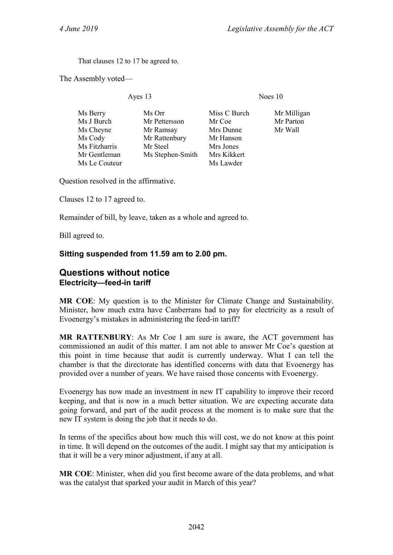That clauses 12 to 17 be agreed to.

The Assembly voted—

Ayes 13 Noes 10

| Ms Orr           | Miss C Burch | Mr Milligan |
|------------------|--------------|-------------|
| Mr Pettersson    | Mr Coe       | Mr Parton   |
| Mr Ramsay        | Mrs Dunne    | Mr Wall     |
| Mr Rattenbury    | Mr Hanson    |             |
| Mr Steel         | Mrs Jones    |             |
| Ms Stephen-Smith | Mrs Kikkert  |             |
|                  | Ms Lawder    |             |
|                  |              |             |

Question resolved in the affirmative.

Clauses 12 to 17 agreed to.

Remainder of bill, by leave, taken as a whole and agreed to.

Bill agreed to.

#### **Sitting suspended from 11.59 am to 2.00 pm.**

### <span id="page-38-1"></span><span id="page-38-0"></span>**Questions without notice Electricity—feed-in tariff**

**MR COE**: My question is to the Minister for Climate Change and Sustainability. Minister, how much extra have Canberrans had to pay for electricity as a result of Evoenergy's mistakes in administering the feed-in tariff?

**MR RATTENBURY**: As Mr Coe I am sure is aware, the ACT government has commissioned an audit of this matter. I am not able to answer Mr Coe's question at this point in time because that audit is currently underway. What I can tell the chamber is that the directorate has identified concerns with data that Evoenergy has provided over a number of years. We have raised those concerns with Evoenergy.

Evoenergy has now made an investment in new IT capability to improve their record keeping, and that is now in a much better situation. We are expecting accurate data going forward, and part of the audit process at the moment is to make sure that the new IT system is doing the job that it needs to do.

In terms of the specifics about how much this will cost, we do not know at this point in time. It will depend on the outcomes of the audit. I might say that my anticipation is that it will be a very minor adjustment, if any at all.

**MR COE**: Minister, when did you first become aware of the data problems, and what was the catalyst that sparked your audit in March of this year?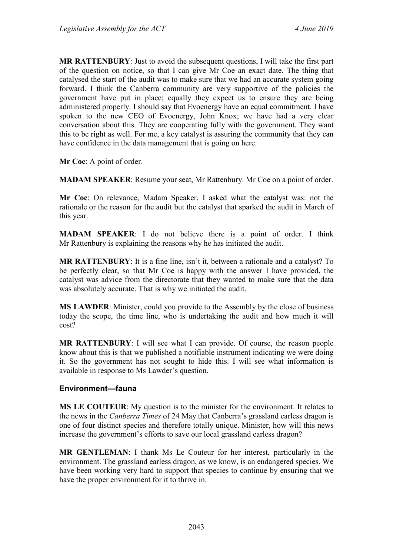**MR RATTENBURY**: Just to avoid the subsequent questions, I will take the first part of the question on notice, so that I can give Mr Coe an exact date. The thing that catalysed the start of the audit was to make sure that we had an accurate system going forward. I think the Canberra community are very supportive of the policies the government have put in place; equally they expect us to ensure they are being administered properly. I should say that Evoenergy have an equal commitment. I have spoken to the new CEO of Evoenergy, John Knox; we have had a very clear conversation about this. They are cooperating fully with the government. They want this to be right as well. For me, a key catalyst is assuring the community that they can have confidence in the data management that is going on here.

**Mr Coe**: A point of order.

**MADAM SPEAKER**: Resume your seat, Mr Rattenbury. Mr Coe on a point of order.

**Mr Coe**: On relevance, Madam Speaker, I asked what the catalyst was: not the rationale or the reason for the audit but the catalyst that sparked the audit in March of this year.

**MADAM SPEAKER**: I do not believe there is a point of order. I think Mr Rattenbury is explaining the reasons why he has initiated the audit.

**MR RATTENBURY**: It is a fine line, isn't it, between a rationale and a catalyst? To be perfectly clear, so that Mr Coe is happy with the answer I have provided, the catalyst was advice from the directorate that they wanted to make sure that the data was absolutely accurate. That is why we initiated the audit.

**MS LAWDER**: Minister, could you provide to the Assembly by the close of business today the scope, the time line, who is undertaking the audit and how much it will cost?

**MR RATTENBURY**: I will see what I can provide. Of course, the reason people know about this is that we published a notifiable instrument indicating we were doing it. So the government has not sought to hide this. I will see what information is available in response to Ms Lawder's question.

#### <span id="page-39-0"></span>**Environment—fauna**

**MS LE COUTEUR**: My question is to the minister for the environment. It relates to the news in the *Canberra Times* of 24 May that Canberra's grassland earless dragon is one of four distinct species and therefore totally unique. Minister, how will this news increase the government's efforts to save our local grassland earless dragon?

**MR GENTLEMAN**: I thank Ms Le Couteur for her interest, particularly in the environment. The grassland earless dragon, as we know, is an endangered species. We have been working very hard to support that species to continue by ensuring that we have the proper environment for it to thrive in.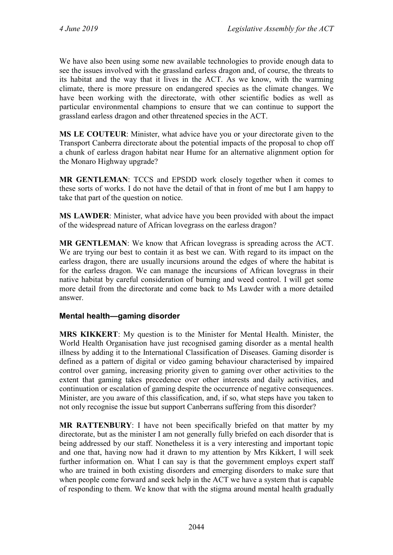We have also been using some new available technologies to provide enough data to see the issues involved with the grassland earless dragon and, of course, the threats to its habitat and the way that it lives in the ACT. As we know, with the warming climate, there is more pressure on endangered species as the climate changes. We have been working with the directorate, with other scientific bodies as well as particular environmental champions to ensure that we can continue to support the grassland earless dragon and other threatened species in the ACT.

**MS LE COUTEUR**: Minister, what advice have you or your directorate given to the Transport Canberra directorate about the potential impacts of the proposal to chop off a chunk of earless dragon habitat near Hume for an alternative alignment option for the Monaro Highway upgrade?

**MR GENTLEMAN**: TCCS and EPSDD work closely together when it comes to these sorts of works. I do not have the detail of that in front of me but I am happy to take that part of the question on notice.

**MS LAWDER**: Minister, what advice have you been provided with about the impact of the widespread nature of African lovegrass on the earless dragon?

**MR GENTLEMAN**: We know that African lovegrass is spreading across the ACT. We are trying our best to contain it as best we can. With regard to its impact on the earless dragon, there are usually incursions around the edges of where the habitat is for the earless dragon. We can manage the incursions of African lovegrass in their native habitat by careful consideration of burning and weed control. I will get some more detail from the directorate and come back to Ms Lawder with a more detailed answer.

#### <span id="page-40-0"></span>**Mental health—gaming disorder**

**MRS KIKKERT**: My question is to the Minister for Mental Health. Minister, the World Health Organisation have just recognised gaming disorder as a mental health illness by adding it to the International Classification of Diseases. Gaming disorder is defined as a pattern of digital or video gaming behaviour characterised by impaired control over gaming, increasing priority given to gaming over other activities to the extent that gaming takes precedence over other interests and daily activities, and continuation or escalation of gaming despite the occurrence of negative consequences. Minister, are you aware of this classification, and, if so, what steps have you taken to not only recognise the issue but support Canberrans suffering from this disorder?

**MR RATTENBURY**: I have not been specifically briefed on that matter by my directorate, but as the minister I am not generally fully briefed on each disorder that is being addressed by our staff. Nonetheless it is a very interesting and important topic and one that, having now had it drawn to my attention by Mrs Kikkert, I will seek further information on. What I can say is that the government employs expert staff who are trained in both existing disorders and emerging disorders to make sure that when people come forward and seek help in the ACT we have a system that is capable of responding to them. We know that with the stigma around mental health gradually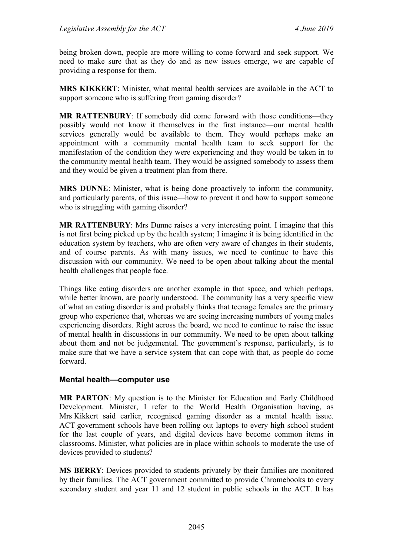being broken down, people are more willing to come forward and seek support. We need to make sure that as they do and as new issues emerge, we are capable of providing a response for them.

**MRS KIKKERT**: Minister, what mental health services are available in the ACT to support someone who is suffering from gaming disorder?

**MR RATTENBURY**: If somebody did come forward with those conditions—they possibly would not know it themselves in the first instance—our mental health services generally would be available to them. They would perhaps make an appointment with a community mental health team to seek support for the manifestation of the condition they were experiencing and they would be taken in to the community mental health team. They would be assigned somebody to assess them and they would be given a treatment plan from there.

**MRS DUNNE**: Minister, what is being done proactively to inform the community, and particularly parents, of this issue—how to prevent it and how to support someone who is struggling with gaming disorder?

**MR RATTENBURY**: Mrs Dunne raises a very interesting point. I imagine that this is not first being picked up by the health system; I imagine it is being identified in the education system by teachers, who are often very aware of changes in their students, and of course parents. As with many issues, we need to continue to have this discussion with our community. We need to be open about talking about the mental health challenges that people face.

Things like eating disorders are another example in that space, and which perhaps, while better known, are poorly understood. The community has a very specific view of what an eating disorder is and probably thinks that teenage females are the primary group who experience that, whereas we are seeing increasing numbers of young males experiencing disorders. Right across the board, we need to continue to raise the issue of mental health in discussions in our community. We need to be open about talking about them and not be judgemental. The government's response, particularly, is to make sure that we have a service system that can cope with that, as people do come forward.

#### <span id="page-41-0"></span>**Mental health—computer use**

**MR PARTON**: My question is to the Minister for Education and Early Childhood Development. Minister, I refer to the World Health Organisation having, as Mrs Kikkert said earlier, recognised gaming disorder as a mental health issue. ACT government schools have been rolling out laptops to every high school student for the last couple of years, and digital devices have become common items in classrooms. Minister, what policies are in place within schools to moderate the use of devices provided to students?

**MS BERRY**: Devices provided to students privately by their families are monitored by their families. The ACT government committed to provide Chromebooks to every secondary student and year 11 and 12 student in public schools in the ACT. It has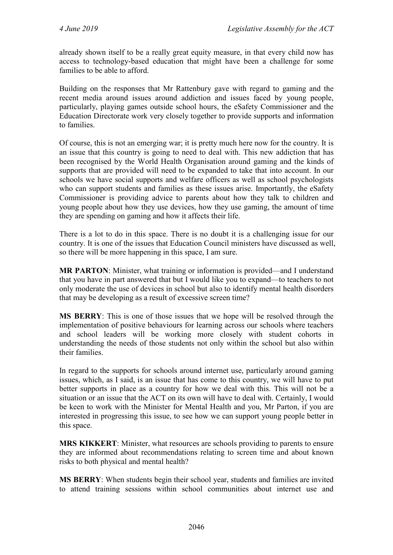already shown itself to be a really great equity measure, in that every child now has access to technology-based education that might have been a challenge for some families to be able to afford.

Building on the responses that Mr Rattenbury gave with regard to gaming and the recent media around issues around addiction and issues faced by young people, particularly, playing games outside school hours, the eSafety Commissioner and the Education Directorate work very closely together to provide supports and information to families.

Of course, this is not an emerging war; it is pretty much here now for the country. It is an issue that this country is going to need to deal with. This new addiction that has been recognised by the World Health Organisation around gaming and the kinds of supports that are provided will need to be expanded to take that into account. In our schools we have social supports and welfare officers as well as school psychologists who can support students and families as these issues arise. Importantly, the eSafety Commissioner is providing advice to parents about how they talk to children and young people about how they use devices, how they use gaming, the amount of time they are spending on gaming and how it affects their life.

There is a lot to do in this space. There is no doubt it is a challenging issue for our country. It is one of the issues that Education Council ministers have discussed as well, so there will be more happening in this space, I am sure.

**MR PARTON**: Minister, what training or information is provided—and I understand that you have in part answered that but I would like you to expand—to teachers to not only moderate the use of devices in school but also to identify mental health disorders that may be developing as a result of excessive screen time?

**MS BERRY**: This is one of those issues that we hope will be resolved through the implementation of positive behaviours for learning across our schools where teachers and school leaders will be working more closely with student cohorts in understanding the needs of those students not only within the school but also within their families.

In regard to the supports for schools around internet use, particularly around gaming issues, which, as I said, is an issue that has come to this country, we will have to put better supports in place as a country for how we deal with this. This will not be a situation or an issue that the ACT on its own will have to deal with. Certainly, I would be keen to work with the Minister for Mental Health and you, Mr Parton, if you are interested in progressing this issue, to see how we can support young people better in this space.

**MRS KIKKERT**: Minister, what resources are schools providing to parents to ensure they are informed about recommendations relating to screen time and about known risks to both physical and mental health?

**MS BERRY**: When students begin their school year, students and families are invited to attend training sessions within school communities about internet use and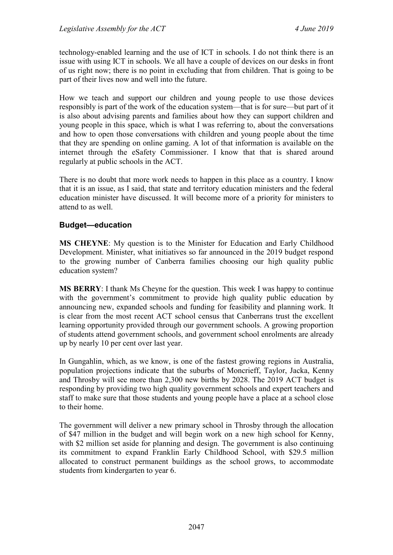technology-enabled learning and the use of ICT in schools. I do not think there is an issue with using ICT in schools. We all have a couple of devices on our desks in front of us right now; there is no point in excluding that from children. That is going to be part of their lives now and well into the future.

How we teach and support our children and young people to use those devices responsibly is part of the work of the education system—that is for sure—but part of it is also about advising parents and families about how they can support children and young people in this space, which is what I was referring to, about the conversations and how to open those conversations with children and young people about the time that they are spending on online gaming. A lot of that information is available on the internet through the eSafety Commissioner. I know that that is shared around regularly at public schools in the ACT.

There is no doubt that more work needs to happen in this place as a country. I know that it is an issue, as I said, that state and territory education ministers and the federal education minister have discussed. It will become more of a priority for ministers to attend to as well.

#### <span id="page-43-0"></span>**Budget—education**

**MS CHEYNE**: My question is to the Minister for Education and Early Childhood Development. Minister, what initiatives so far announced in the 2019 budget respond to the growing number of Canberra families choosing our high quality public education system?

**MS BERRY**: I thank Ms Cheyne for the question. This week I was happy to continue with the government's commitment to provide high quality public education by announcing new, expanded schools and funding for feasibility and planning work. It is clear from the most recent ACT school census that Canberrans trust the excellent learning opportunity provided through our government schools. A growing proportion of students attend government schools, and government school enrolments are already up by nearly 10 per cent over last year.

In Gungahlin, which, as we know, is one of the fastest growing regions in Australia, population projections indicate that the suburbs of Moncrieff, Taylor, Jacka, Kenny and Throsby will see more than 2,300 new births by 2028. The 2019 ACT budget is responding by providing two high quality government schools and expert teachers and staff to make sure that those students and young people have a place at a school close to their home.

The government will deliver a new primary school in Throsby through the allocation of \$47 million in the budget and will begin work on a new high school for Kenny, with \$2 million set aside for planning and design. The government is also continuing its commitment to expand Franklin Early Childhood School, with \$29.5 million allocated to construct permanent buildings as the school grows, to accommodate students from kindergarten to year 6.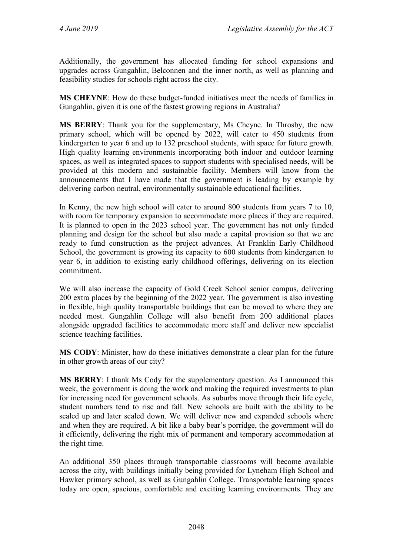Additionally, the government has allocated funding for school expansions and upgrades across Gungahlin, Belconnen and the inner north, as well as planning and feasibility studies for schools right across the city.

**MS CHEYNE**: How do these budget-funded initiatives meet the needs of families in Gungahlin, given it is one of the fastest growing regions in Australia?

**MS BERRY**: Thank you for the supplementary, Ms Cheyne. In Throsby, the new primary school, which will be opened by 2022, will cater to 450 students from kindergarten to year 6 and up to 132 preschool students, with space for future growth. High quality learning environments incorporating both indoor and outdoor learning spaces, as well as integrated spaces to support students with specialised needs, will be provided at this modern and sustainable facility. Members will know from the announcements that I have made that the government is leading by example by delivering carbon neutral, environmentally sustainable educational facilities.

In Kenny, the new high school will cater to around 800 students from years 7 to 10, with room for temporary expansion to accommodate more places if they are required. It is planned to open in the 2023 school year. The government has not only funded planning and design for the school but also made a capital provision so that we are ready to fund construction as the project advances. At Franklin Early Childhood School, the government is growing its capacity to 600 students from kindergarten to year 6, in addition to existing early childhood offerings, delivering on its election commitment.

We will also increase the capacity of Gold Creek School senior campus, delivering 200 extra places by the beginning of the 2022 year. The government is also investing in flexible, high quality transportable buildings that can be moved to where they are needed most. Gungahlin College will also benefit from 200 additional places alongside upgraded facilities to accommodate more staff and deliver new specialist science teaching facilities.

**MS CODY**: Minister, how do these initiatives demonstrate a clear plan for the future in other growth areas of our city?

**MS BERRY**: I thank Ms Cody for the supplementary question. As I announced this week, the government is doing the work and making the required investments to plan for increasing need for government schools. As suburbs move through their life cycle, student numbers tend to rise and fall. New schools are built with the ability to be scaled up and later scaled down. We will deliver new and expanded schools where and when they are required. A bit like a baby bear's porridge, the government will do it efficiently, delivering the right mix of permanent and temporary accommodation at the right time.

An additional 350 places through transportable classrooms will become available across the city, with buildings initially being provided for Lyneham High School and Hawker primary school, as well as Gungahlin College. Transportable learning spaces today are open, spacious, comfortable and exciting learning environments. They are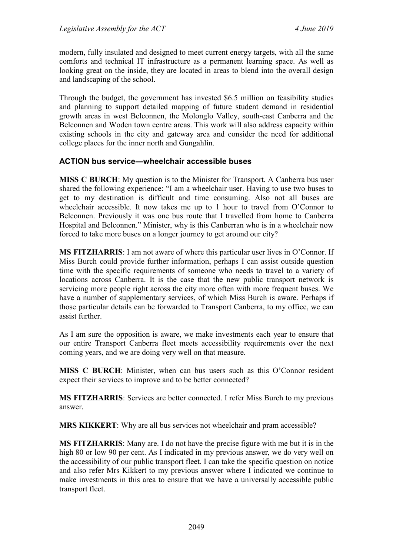modern, fully insulated and designed to meet current energy targets, with all the same comforts and technical IT infrastructure as a permanent learning space. As well as looking great on the inside, they are located in areas to blend into the overall design and landscaping of the school.

Through the budget, the government has invested \$6.5 million on feasibility studies and planning to support detailed mapping of future student demand in residential growth areas in west Belconnen, the Molonglo Valley, south-east Canberra and the Belconnen and Woden town centre areas. This work will also address capacity within existing schools in the city and gateway area and consider the need for additional college places for the inner north and Gungahlin.

#### <span id="page-45-0"></span>**ACTION bus service—wheelchair accessible buses**

**MISS C BURCH**: My question is to the Minister for Transport. A Canberra bus user shared the following experience: "I am a wheelchair user. Having to use two buses to get to my destination is difficult and time consuming. Also not all buses are wheelchair accessible. It now takes me up to 1 hour to travel from O'Connor to Belconnen. Previously it was one bus route that I travelled from home to Canberra Hospital and Belconnen." Minister, why is this Canberran who is in a wheelchair now forced to take more buses on a longer journey to get around our city?

**MS FITZHARRIS**: I am not aware of where this particular user lives in O'Connor. If Miss Burch could provide further information, perhaps I can assist outside question time with the specific requirements of someone who needs to travel to a variety of locations across Canberra. It is the case that the new public transport network is servicing more people right across the city more often with more frequent buses. We have a number of supplementary services, of which Miss Burch is aware. Perhaps if those particular details can be forwarded to Transport Canberra, to my office, we can assist further.

As I am sure the opposition is aware, we make investments each year to ensure that our entire Transport Canberra fleet meets accessibility requirements over the next coming years, and we are doing very well on that measure.

**MISS C BURCH**: Minister, when can bus users such as this O'Connor resident expect their services to improve and to be better connected?

**MS FITZHARRIS**: Services are better connected. I refer Miss Burch to my previous answer.

**MRS KIKKERT**: Why are all bus services not wheelchair and pram accessible?

**MS FITZHARRIS**: Many are. I do not have the precise figure with me but it is in the high 80 or low 90 per cent. As I indicated in my previous answer, we do very well on the accessibility of our public transport fleet. I can take the specific question on notice and also refer Mrs Kikkert to my previous answer where I indicated we continue to make investments in this area to ensure that we have a universally accessible public transport fleet.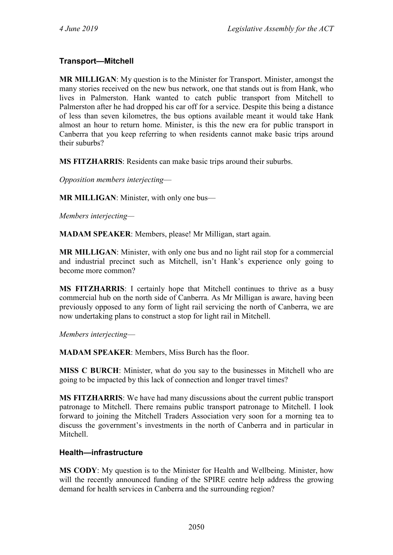## <span id="page-46-0"></span>**Transport—Mitchell**

**MR MILLIGAN**: My question is to the Minister for Transport. Minister, amongst the many stories received on the new bus network, one that stands out is from Hank, who lives in Palmerston. Hank wanted to catch public transport from Mitchell to Palmerston after he had dropped his car off for a service. Despite this being a distance of less than seven kilometres, the bus options available meant it would take Hank almost an hour to return home. Minister, is this the new era for public transport in Canberra that you keep referring to when residents cannot make basic trips around their suburbs?

**MS FITZHARRIS**: Residents can make basic trips around their suburbs.

*Opposition members interjecting*—

**MR MILLIGAN**: Minister, with only one bus—

*Members interjecting—*

**MADAM SPEAKER**: Members, please! Mr Milligan, start again.

**MR MILLIGAN**: Minister, with only one bus and no light rail stop for a commercial and industrial precinct such as Mitchell, isn't Hank's experience only going to become more common?

**MS FITZHARRIS**: I certainly hope that Mitchell continues to thrive as a busy commercial hub on the north side of Canberra. As Mr Milligan is aware, having been previously opposed to any form of light rail servicing the north of Canberra, we are now undertaking plans to construct a stop for light rail in Mitchell.

*Members interjecting*—

**MADAM SPEAKER**: Members, Miss Burch has the floor.

**MISS C BURCH**: Minister, what do you say to the businesses in Mitchell who are going to be impacted by this lack of connection and longer travel times?

**MS FITZHARRIS**: We have had many discussions about the current public transport patronage to Mitchell. There remains public transport patronage to Mitchell. I look forward to joining the Mitchell Traders Association very soon for a morning tea to discuss the government's investments in the north of Canberra and in particular in Mitchell.

#### <span id="page-46-1"></span>**Health—infrastructure**

**MS CODY**: My question is to the Minister for Health and Wellbeing. Minister, how will the recently announced funding of the SPIRE centre help address the growing demand for health services in Canberra and the surrounding region?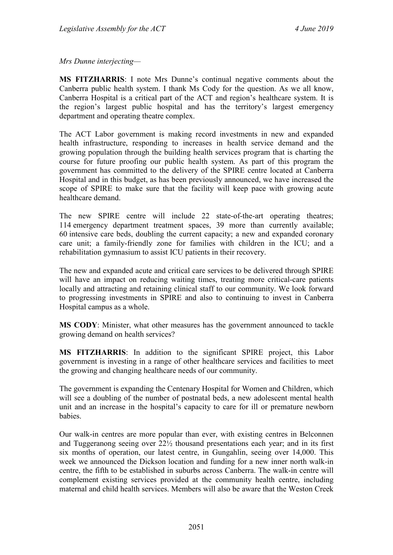*Mrs Dunne interjecting—*

**MS FITZHARRIS**: I note Mrs Dunne's continual negative comments about the Canberra public health system. I thank Ms Cody for the question. As we all know, Canberra Hospital is a critical part of the ACT and region's healthcare system. It is the region's largest public hospital and has the territory's largest emergency department and operating theatre complex.

The ACT Labor government is making record investments in new and expanded health infrastructure, responding to increases in health service demand and the growing population through the building health services program that is charting the course for future proofing our public health system. As part of this program the government has committed to the delivery of the SPIRE centre located at Canberra Hospital and in this budget, as has been previously announced, we have increased the scope of SPIRE to make sure that the facility will keep pace with growing acute healthcare demand.

The new SPIRE centre will include 22 state-of-the-art operating theatres; 114 emergency department treatment spaces, 39 more than currently available; 60 intensive care beds, doubling the current capacity; a new and expanded coronary care unit; a family-friendly zone for families with children in the ICU; and a rehabilitation gymnasium to assist ICU patients in their recovery.

The new and expanded acute and critical care services to be delivered through SPIRE will have an impact on reducing waiting times, treating more critical-care patients locally and attracting and retaining clinical staff to our community. We look forward to progressing investments in SPIRE and also to continuing to invest in Canberra Hospital campus as a whole.

**MS CODY**: Minister, what other measures has the government announced to tackle growing demand on health services?

**MS FITZHARRIS**: In addition to the significant SPIRE project, this Labor government is investing in a range of other healthcare services and facilities to meet the growing and changing healthcare needs of our community.

The government is expanding the Centenary Hospital for Women and Children, which will see a doubling of the number of postnatal beds, a new adolescent mental health unit and an increase in the hospital's capacity to care for ill or premature newborn babies.

Our walk-in centres are more popular than ever, with existing centres in Belconnen and Tuggeranong seeing over 22½ thousand presentations each year; and in its first six months of operation, our latest centre, in Gungahlin, seeing over 14,000. This week we announced the Dickson location and funding for a new inner north walk-in centre, the fifth to be established in suburbs across Canberra. The walk-in centre will complement existing services provided at the community health centre, including maternal and child health services. Members will also be aware that the Weston Creek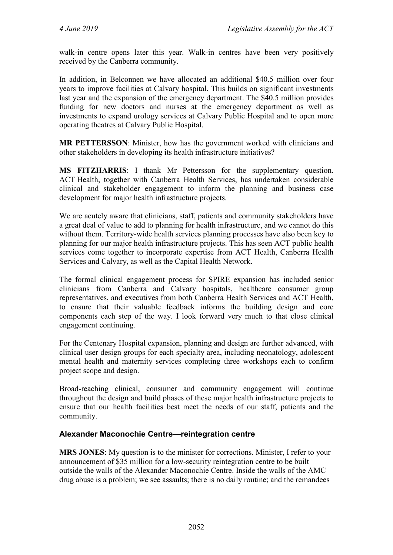walk-in centre opens later this year. Walk-in centres have been very positively received by the Canberra community.

In addition, in Belconnen we have allocated an additional \$40.5 million over four years to improve facilities at Calvary hospital. This builds on significant investments last year and the expansion of the emergency department. The \$40.5 million provides funding for new doctors and nurses at the emergency department as well as investments to expand urology services at Calvary Public Hospital and to open more operating theatres at Calvary Public Hospital.

**MR PETTERSSON**: Minister, how has the government worked with clinicians and other stakeholders in developing its health infrastructure initiatives?

**MS FITZHARRIS**: I thank Mr Pettersson for the supplementary question. ACT Health, together with Canberra Health Services, has undertaken considerable clinical and stakeholder engagement to inform the planning and business case development for major health infrastructure projects.

We are acutely aware that clinicians, staff, patients and community stakeholders have a great deal of value to add to planning for health infrastructure, and we cannot do this without them. Territory-wide health services planning processes have also been key to planning for our major health infrastructure projects. This has seen ACT public health services come together to incorporate expertise from ACT Health, Canberra Health Services and Calvary, as well as the Capital Health Network.

The formal clinical engagement process for SPIRE expansion has included senior clinicians from Canberra and Calvary hospitals, healthcare consumer group representatives, and executives from both Canberra Health Services and ACT Health, to ensure that their valuable feedback informs the building design and core components each step of the way. I look forward very much to that close clinical engagement continuing.

For the Centenary Hospital expansion, planning and design are further advanced, with clinical user design groups for each specialty area, including neonatology, adolescent mental health and maternity services completing three workshops each to confirm project scope and design.

Broad-reaching clinical, consumer and community engagement will continue throughout the design and build phases of these major health infrastructure projects to ensure that our health facilities best meet the needs of our staff, patients and the community.

## <span id="page-48-0"></span>**Alexander Maconochie Centre—reintegration centre**

**MRS JONES**: My question is to the minister for corrections. Minister, I refer to your announcement of \$35 million for a low-security reintegration centre to be built outside the walls of the Alexander Maconochie Centre. Inside the walls of the AMC drug abuse is a problem; we see assaults; there is no daily routine; and the remandees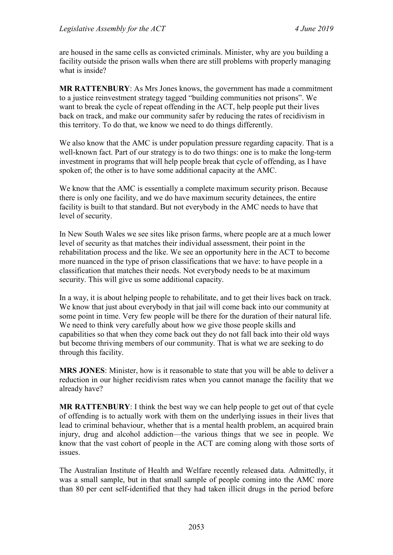are housed in the same cells as convicted criminals. Minister, why are you building a facility outside the prison walls when there are still problems with properly managing what is inside?

**MR RATTENBURY**: As Mrs Jones knows, the government has made a commitment to a justice reinvestment strategy tagged "building communities not prisons". We want to break the cycle of repeat offending in the ACT, help people put their lives back on track, and make our community safer by reducing the rates of recidivism in this territory. To do that, we know we need to do things differently.

We also know that the AMC is under population pressure regarding capacity. That is a well-known fact. Part of our strategy is to do two things: one is to make the long-term investment in programs that will help people break that cycle of offending, as I have spoken of; the other is to have some additional capacity at the AMC.

We know that the AMC is essentially a complete maximum security prison. Because there is only one facility, and we do have maximum security detainees, the entire facility is built to that standard. But not everybody in the AMC needs to have that level of security.

In New South Wales we see sites like prison farms, where people are at a much lower level of security as that matches their individual assessment, their point in the rehabilitation process and the like. We see an opportunity here in the ACT to become more nuanced in the type of prison classifications that we have: to have people in a classification that matches their needs. Not everybody needs to be at maximum security. This will give us some additional capacity.

In a way, it is about helping people to rehabilitate, and to get their lives back on track. We know that just about everybody in that jail will come back into our community at some point in time. Very few people will be there for the duration of their natural life. We need to think very carefully about how we give those people skills and capabilities so that when they come back out they do not fall back into their old ways but become thriving members of our community. That is what we are seeking to do through this facility.

**MRS JONES**: Minister, how is it reasonable to state that you will be able to deliver a reduction in our higher recidivism rates when you cannot manage the facility that we already have?

**MR RATTENBURY**: I think the best way we can help people to get out of that cycle of offending is to actually work with them on the underlying issues in their lives that lead to criminal behaviour, whether that is a mental health problem, an acquired brain injury, drug and alcohol addiction—the various things that we see in people. We know that the vast cohort of people in the ACT are coming along with those sorts of issues.

The Australian Institute of Health and Welfare recently released data. Admittedly, it was a small sample, but in that small sample of people coming into the AMC more than 80 per cent self-identified that they had taken illicit drugs in the period before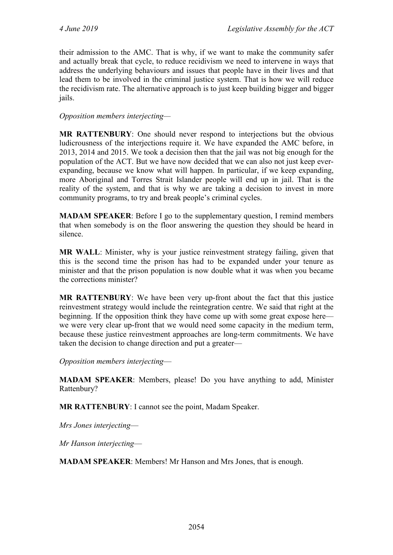their admission to the AMC. That is why, if we want to make the community safer and actually break that cycle, to reduce recidivism we need to intervene in ways that address the underlying behaviours and issues that people have in their lives and that lead them to be involved in the criminal justice system. That is how we will reduce the recidivism rate. The alternative approach is to just keep building bigger and bigger jails.

### *Opposition members interjecting—*

**MR RATTENBURY**: One should never respond to interjections but the obvious ludicrousness of the interjections require it. We have expanded the AMC before, in 2013, 2014 and 2015. We took a decision then that the jail was not big enough for the population of the ACT. But we have now decided that we can also not just keep everexpanding, because we know what will happen. In particular, if we keep expanding, more Aboriginal and Torres Strait Islander people will end up in jail. That is the reality of the system, and that is why we are taking a decision to invest in more community programs, to try and break people's criminal cycles.

**MADAM SPEAKER**: Before I go to the supplementary question, I remind members that when somebody is on the floor answering the question they should be heard in silence.

**MR WALL**: Minister, why is your justice reinvestment strategy failing, given that this is the second time the prison has had to be expanded under your tenure as minister and that the prison population is now double what it was when you became the corrections minister?

**MR RATTENBURY**: We have been very up-front about the fact that this justice reinvestment strategy would include the reintegration centre. We said that right at the beginning. If the opposition think they have come up with some great expose here we were very clear up-front that we would need some capacity in the medium term, because these justice reinvestment approaches are long-term commitments. We have taken the decision to change direction and put a greater—

*Opposition members interjecting*—

**MADAM SPEAKER**: Members, please! Do you have anything to add, Minister Rattenbury?

**MR RATTENBURY**: I cannot see the point, Madam Speaker.

*Mrs Jones interjecting*—

*Mr Hanson interjecting*—

**MADAM SPEAKER**: Members! Mr Hanson and Mrs Jones, that is enough.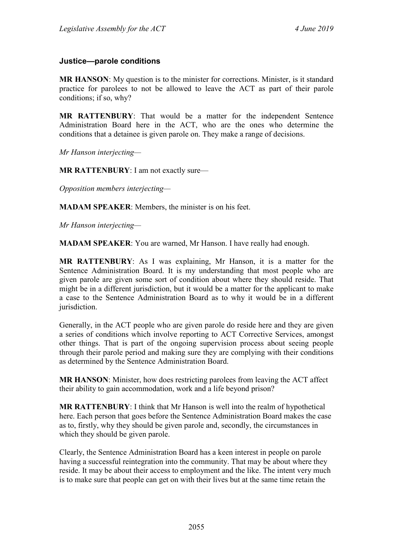#### <span id="page-51-0"></span>**Justice—parole conditions**

**MR HANSON**: My question is to the minister for corrections. Minister, is it standard practice for parolees to not be allowed to leave the ACT as part of their parole conditions; if so, why?

**MR RATTENBURY**: That would be a matter for the independent Sentence Administration Board here in the ACT, who are the ones who determine the conditions that a detainee is given parole on. They make a range of decisions.

*Mr Hanson interjecting—*

**MR RATTENBURY**: I am not exactly sure—

*Opposition members interjecting—*

**MADAM SPEAKER**: Members, the minister is on his feet.

*Mr Hanson interjecting—*

**MADAM SPEAKER**: You are warned, Mr Hanson. I have really had enough.

**MR RATTENBURY**: As I was explaining, Mr Hanson, it is a matter for the Sentence Administration Board. It is my understanding that most people who are given parole are given some sort of condition about where they should reside. That might be in a different jurisdiction, but it would be a matter for the applicant to make a case to the Sentence Administration Board as to why it would be in a different jurisdiction.

Generally, in the ACT people who are given parole do reside here and they are given a series of conditions which involve reporting to ACT Corrective Services, amongst other things. That is part of the ongoing supervision process about seeing people through their parole period and making sure they are complying with their conditions as determined by the Sentence Administration Board.

**MR HANSON**: Minister, how does restricting parolees from leaving the ACT affect their ability to gain accommodation, work and a life beyond prison?

**MR RATTENBURY**: I think that Mr Hanson is well into the realm of hypothetical here. Each person that goes before the Sentence Administration Board makes the case as to, firstly, why they should be given parole and, secondly, the circumstances in which they should be given parole.

Clearly, the Sentence Administration Board has a keen interest in people on parole having a successful reintegration into the community. That may be about where they reside. It may be about their access to employment and the like. The intent very much is to make sure that people can get on with their lives but at the same time retain the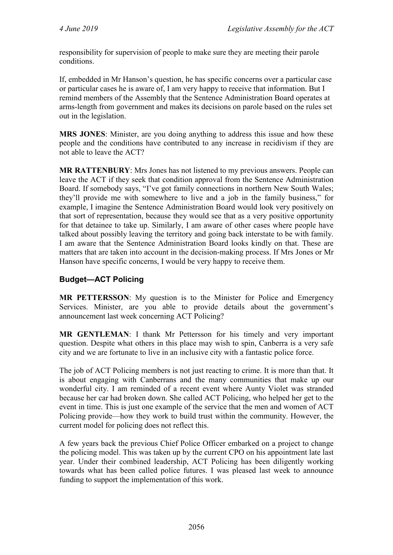responsibility for supervision of people to make sure they are meeting their parole conditions.

If, embedded in Mr Hanson's question, he has specific concerns over a particular case or particular cases he is aware of, I am very happy to receive that information. But I remind members of the Assembly that the Sentence Administration Board operates at arms-length from government and makes its decisions on parole based on the rules set out in the legislation.

**MRS JONES**: Minister, are you doing anything to address this issue and how these people and the conditions have contributed to any increase in recidivism if they are not able to leave the ACT?

**MR RATTENBURY**: Mrs Jones has not listened to my previous answers. People can leave the ACT if they seek that condition approval from the Sentence Administration Board. If somebody says, "I've got family connections in northern New South Wales; they'll provide me with somewhere to live and a job in the family business," for example, I imagine the Sentence Administration Board would look very positively on that sort of representation, because they would see that as a very positive opportunity for that detainee to take up. Similarly, I am aware of other cases where people have talked about possibly leaving the territory and going back interstate to be with family. I am aware that the Sentence Administration Board looks kindly on that. These are matters that are taken into account in the decision-making process. If Mrs Jones or Mr Hanson have specific concerns, I would be very happy to receive them.

## <span id="page-52-0"></span>**Budget—ACT Policing**

**MR PETTERSSON**: My question is to the Minister for Police and Emergency Services. Minister, are you able to provide details about the government's announcement last week concerning ACT Policing?

**MR GENTLEMAN**: I thank Mr Pettersson for his timely and very important question. Despite what others in this place may wish to spin, Canberra is a very safe city and we are fortunate to live in an inclusive city with a fantastic police force.

The job of ACT Policing members is not just reacting to crime. It is more than that. It is about engaging with Canberrans and the many communities that make up our wonderful city. I am reminded of a recent event where Aunty Violet was stranded because her car had broken down. She called ACT Policing, who helped her get to the event in time. This is just one example of the service that the men and women of ACT Policing provide—how they work to build trust within the community. However, the current model for policing does not reflect this.

A few years back the previous Chief Police Officer embarked on a project to change the policing model. This was taken up by the current CPO on his appointment late last year. Under their combined leadership, ACT Policing has been diligently working towards what has been called police futures. I was pleased last week to announce funding to support the implementation of this work.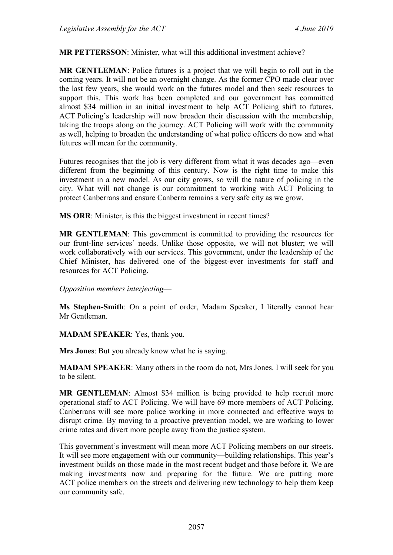#### **MR PETTERSSON**: Minister, what will this additional investment achieve?

**MR GENTLEMAN**: Police futures is a project that we will begin to roll out in the coming years. It will not be an overnight change. As the former CPO made clear over the last few years, she would work on the futures model and then seek resources to support this. This work has been completed and our government has committed almost \$34 million in an initial investment to help ACT Policing shift to futures. ACT Policing's leadership will now broaden their discussion with the membership, taking the troops along on the journey. ACT Policing will work with the community as well, helping to broaden the understanding of what police officers do now and what futures will mean for the community.

Futures recognises that the job is very different from what it was decades ago—even different from the beginning of this century. Now is the right time to make this investment in a new model. As our city grows, so will the nature of policing in the city. What will not change is our commitment to working with ACT Policing to protect Canberrans and ensure Canberra remains a very safe city as we grow.

**MS ORR**: Minister, is this the biggest investment in recent times?

**MR GENTLEMAN**: This government is committed to providing the resources for our front-line services' needs. Unlike those opposite, we will not bluster; we will work collaboratively with our services. This government, under the leadership of the Chief Minister, has delivered one of the biggest-ever investments for staff and resources for ACT Policing.

#### *Opposition members interjecting*—

**Ms Stephen-Smith**: On a point of order, Madam Speaker, I literally cannot hear Mr Gentleman.

#### **MADAM SPEAKER**: Yes, thank you.

**Mrs Jones**: But you already know what he is saying.

**MADAM SPEAKER**: Many others in the room do not, Mrs Jones. I will seek for you to be silent.

**MR GENTLEMAN**: Almost \$34 million is being provided to help recruit more operational staff to ACT Policing. We will have 69 more members of ACT Policing. Canberrans will see more police working in more connected and effective ways to disrupt crime. By moving to a proactive prevention model, we are working to lower crime rates and divert more people away from the justice system.

This government's investment will mean more ACT Policing members on our streets. It will see more engagement with our community—building relationships. This year's investment builds on those made in the most recent budget and those before it. We are making investments now and preparing for the future. We are putting more ACT police members on the streets and delivering new technology to help them keep our community safe.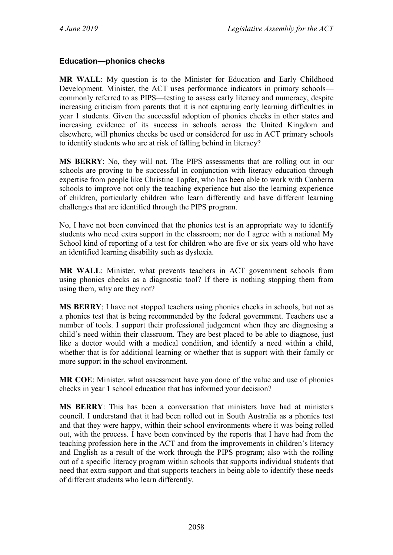## <span id="page-54-0"></span>**Education—phonics checks**

**MR WALL**: My question is to the Minister for Education and Early Childhood Development. Minister, the ACT uses performance indicators in primary schools commonly referred to as PIPS—testing to assess early literacy and numeracy, despite increasing criticism from parents that it is not capturing early learning difficulties in year 1 students. Given the successful adoption of phonics checks in other states and increasing evidence of its success in schools across the United Kingdom and elsewhere, will phonics checks be used or considered for use in ACT primary schools to identify students who are at risk of falling behind in literacy?

**MS BERRY**: No, they will not. The PIPS assessments that are rolling out in our schools are proving to be successful in conjunction with literacy education through expertise from people like Christine Topfer, who has been able to work with Canberra schools to improve not only the teaching experience but also the learning experience of children, particularly children who learn differently and have different learning challenges that are identified through the PIPS program.

No, I have not been convinced that the phonics test is an appropriate way to identify students who need extra support in the classroom; nor do I agree with a national My School kind of reporting of a test for children who are five or six years old who have an identified learning disability such as dyslexia.

**MR WALL**: Minister, what prevents teachers in ACT government schools from using phonics checks as a diagnostic tool? If there is nothing stopping them from using them, why are they not?

**MS BERRY**: I have not stopped teachers using phonics checks in schools, but not as a phonics test that is being recommended by the federal government. Teachers use a number of tools. I support their professional judgement when they are diagnosing a child's need within their classroom. They are best placed to be able to diagnose, just like a doctor would with a medical condition, and identify a need within a child, whether that is for additional learning or whether that is support with their family or more support in the school environment.

**MR COE**: Minister, what assessment have you done of the value and use of phonics checks in year 1 school education that has informed your decision?

**MS BERRY**: This has been a conversation that ministers have had at ministers council. I understand that it had been rolled out in South Australia as a phonics test and that they were happy, within their school environments where it was being rolled out, with the process. I have been convinced by the reports that I have had from the teaching profession here in the ACT and from the improvements in children's literacy and English as a result of the work through the PIPS program; also with the rolling out of a specific literacy program within schools that supports individual students that need that extra support and that supports teachers in being able to identify these needs of different students who learn differently.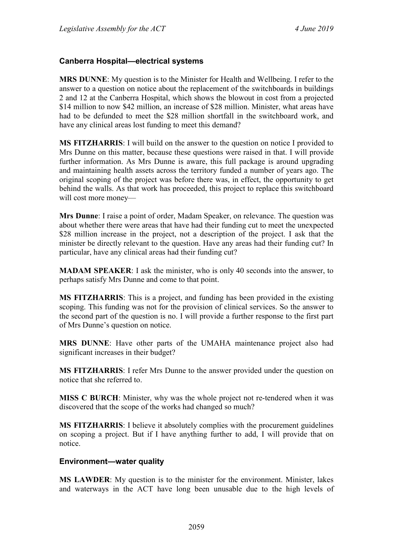#### <span id="page-55-0"></span>**Canberra Hospital—electrical systems**

**MRS DUNNE**: My question is to the Minister for Health and Wellbeing. I refer to the answer to a question on notice about the replacement of the switchboards in buildings 2 and 12 at the Canberra Hospital, which shows the blowout in cost from a projected \$14 million to now \$42 million, an increase of \$28 million. Minister, what areas have had to be defunded to meet the \$28 million shortfall in the switchboard work, and have any clinical areas lost funding to meet this demand?

**MS FITZHARRIS**: I will build on the answer to the question on notice I provided to Mrs Dunne on this matter, because these questions were raised in that. I will provide further information. As Mrs Dunne is aware, this full package is around upgrading and maintaining health assets across the territory funded a number of years ago. The original scoping of the project was before there was, in effect, the opportunity to get behind the walls. As that work has proceeded, this project to replace this switchboard will cost more money—

**Mrs Dunne**: I raise a point of order, Madam Speaker, on relevance. The question was about whether there were areas that have had their funding cut to meet the unexpected \$28 million increase in the project, not a description of the project. I ask that the minister be directly relevant to the question. Have any areas had their funding cut? In particular, have any clinical areas had their funding cut?

**MADAM SPEAKER**: I ask the minister, who is only 40 seconds into the answer, to perhaps satisfy Mrs Dunne and come to that point.

**MS FITZHARRIS**: This is a project, and funding has been provided in the existing scoping. This funding was not for the provision of clinical services. So the answer to the second part of the question is no. I will provide a further response to the first part of Mrs Dunne's question on notice.

**MRS DUNNE**: Have other parts of the UMAHA maintenance project also had significant increases in their budget?

**MS FITZHARRIS**: I refer Mrs Dunne to the answer provided under the question on notice that she referred to.

**MISS C BURCH**: Minister, why was the whole project not re-tendered when it was discovered that the scope of the works had changed so much?

**MS FITZHARRIS**: I believe it absolutely complies with the procurement guidelines on scoping a project. But if I have anything further to add, I will provide that on notice.

#### <span id="page-55-1"></span>**Environment—water quality**

**MS LAWDER**: My question is to the minister for the environment. Minister, lakes and waterways in the ACT have long been unusable due to the high levels of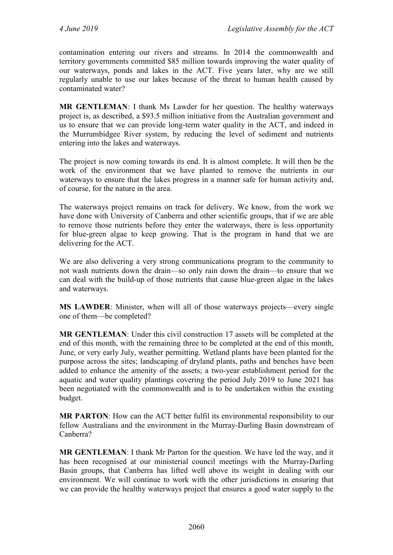contamination entering our rivers and streams. In 2014 the commonwealth and territory governments committed \$85 million towards improving the water quality of our waterways, ponds and lakes in the ACT. Five years later, why are we still regularly unable to use our lakes because of the threat to human health caused by contaminated water?

**MR GENTLEMAN**: I thank Ms Lawder for her question. The healthy waterways project is, as described, a \$93.5 million initiative from the Australian government and us to ensure that we can provide long-term water quality in the ACT, and indeed in the Murrumbidgee River system, by reducing the level of sediment and nutrients entering into the lakes and waterways.

The project is now coming towards its end. It is almost complete. It will then be the work of the environment that we have planted to remove the nutrients in our waterways to ensure that the lakes progress in a manner safe for human activity and, of course, for the nature in the area.

The waterways project remains on track for delivery. We know, from the work we have done with University of Canberra and other scientific groups, that if we are able to remove those nutrients before they enter the waterways, there is less opportunity for blue-green algae to keep growing. That is the program in hand that we are delivering for the ACT.

We are also delivering a very strong communications program to the community to not wash nutrients down the drain—so only rain down the drain—to ensure that we can deal with the build-up of those nutrients that cause blue-green algae in the lakes and waterways.

**MS LAWDER**: Minister, when will all of those waterways projects—every single one of them—be completed?

**MR GENTLEMAN**: Under this civil construction 17 assets will be completed at the end of this month, with the remaining three to be completed at the end of this month, June, or very early July, weather permitting. Wetland plants have been planted for the purpose across the sites; landscaping of dryland plants, paths and benches have been added to enhance the amenity of the assets; a two-year establishment period for the aquatic and water quality plantings covering the period July 2019 to June 2021 has been negotiated with the commonwealth and is to be undertaken within the existing budget.

**MR PARTON**: How can the ACT better fulfil its environmental responsibility to our fellow Australians and the environment in the Murray-Darling Basin downstream of Canberra?

**MR GENTLEMAN**: I thank Mr Parton for the question. We have led the way, and it has been recognised at our ministerial council meetings with the Murray-Darling Basin groups, that Canberra has lifted well above its weight in dealing with our environment. We will continue to work with the other jurisdictions in ensuring that we can provide the healthy waterways project that ensures a good water supply to the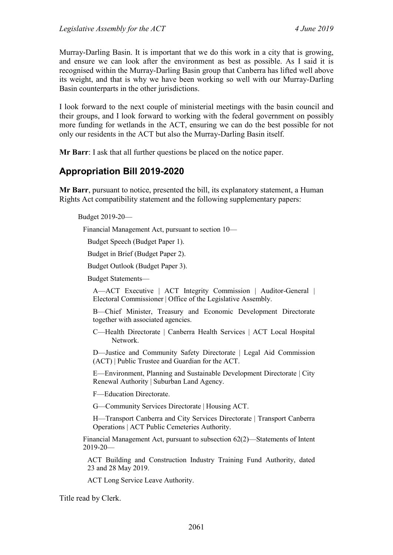Murray-Darling Basin. It is important that we do this work in a city that is growing, and ensure we can look after the environment as best as possible. As I said it is recognised within the Murray-Darling Basin group that Canberra has lifted well above its weight, and that is why we have been working so well with our Murray-Darling Basin counterparts in the other jurisdictions.

I look forward to the next couple of ministerial meetings with the basin council and their groups, and I look forward to working with the federal government on possibly more funding for wetlands in the ACT, ensuring we can do the best possible for not only our residents in the ACT but also the Murray-Darling Basin itself.

**Mr Barr**: I ask that all further questions be placed on the notice paper.

# <span id="page-57-0"></span>**Appropriation Bill 2019-2020**

**Mr Barr**, pursuant to notice, presented the bill, its explanatory statement, a Human Rights Act compatibility statement and the following supplementary papers:

Budget 2019-20—

Financial Management Act, pursuant to section 10—

Budget Speech (Budget Paper 1).

Budget in Brief (Budget Paper 2).

Budget Outlook (Budget Paper 3).

Budget Statements—

A—ACT Executive | ACT Integrity Commission | Auditor-General | Electoral Commissioner | Office of the Legislative Assembly.

B—Chief Minister, Treasury and Economic Development Directorate together with associated agencies.

C—Health Directorate | Canberra Health Services | ACT Local Hospital Network.

D—Justice and Community Safety Directorate | Legal Aid Commission (ACT) | Public Trustee and Guardian for the ACT.

E—Environment, Planning and Sustainable Development Directorate | City Renewal Authority | Suburban Land Agency.

F—Education Directorate.

G—Community Services Directorate | Housing ACT.

H—Transport Canberra and City Services Directorate | Transport Canberra Operations | ACT Public Cemeteries Authority.

Financial Management Act, pursuant to subsection 62(2)—Statements of Intent  $2019 - 20$ —

ACT Building and Construction Industry Training Fund Authority, dated 23 and 28 May 2019.

ACT Long Service Leave Authority.

Title read by Clerk.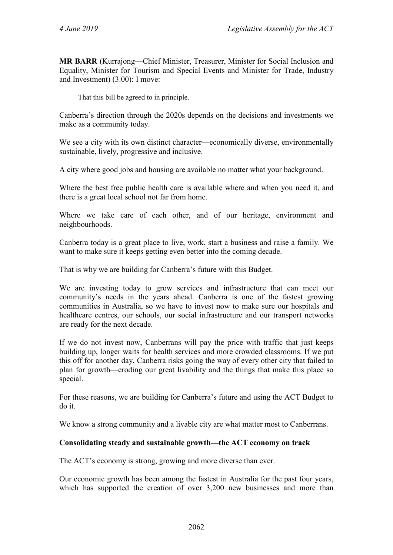**MR BARR** (Kurrajong—Chief Minister, Treasurer, Minister for Social Inclusion and Equality, Minister for Tourism and Special Events and Minister for Trade, Industry and Investment) (3.00): I move:

That this bill be agreed to in principle.

Canberra's direction through the 2020s depends on the decisions and investments we make as a community today.

We see a city with its own distinct character—economically diverse, environmentally sustainable, lively, progressive and inclusive.

A city where good jobs and housing are available no matter what your background.

Where the best free public health care is available where and when you need it, and there is a great local school not far from home.

Where we take care of each other, and of our heritage, environment and neighbourhoods.

Canberra today is a great place to live, work, start a business and raise a family. We want to make sure it keeps getting even better into the coming decade.

That is why we are building for Canberra's future with this Budget.

We are investing today to grow services and infrastructure that can meet our community's needs in the years ahead. Canberra is one of the fastest growing communities in Australia, so we have to invest now to make sure our hospitals and healthcare centres, our schools, our social infrastructure and our transport networks are ready for the next decade.

If we do not invest now, Canberrans will pay the price with traffic that just keeps building up, longer waits for health services and more crowded classrooms. If we put this off for another day, Canberra risks going the way of every other city that failed to plan for growth—eroding our great livability and the things that make this place so special.

For these reasons, we are building for Canberra's future and using the ACT Budget to do it.

We know a strong community and a livable city are what matter most to Canberrans.

#### **Consolidating steady and sustainable growth—the ACT economy on track**

The ACT's economy is strong, growing and more diverse than ever.

Our economic growth has been among the fastest in Australia for the past four years, which has supported the creation of over 3,200 new businesses and more than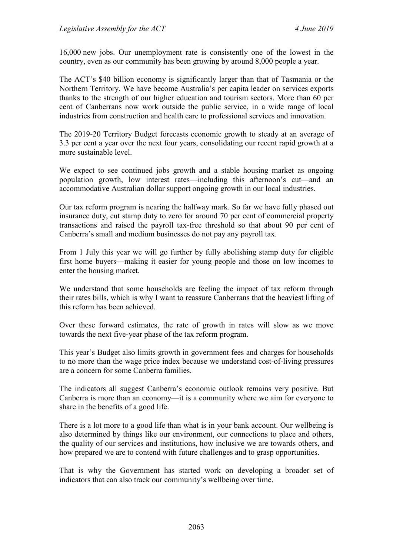16,000 new jobs. Our unemployment rate is consistently one of the lowest in the country, even as our community has been growing by around 8,000 people a year.

The ACT's \$40 billion economy is significantly larger than that of Tasmania or the Northern Territory. We have become Australia's per capita leader on services exports thanks to the strength of our higher education and tourism sectors. More than 60 per cent of Canberrans now work outside the public service, in a wide range of local industries from construction and health care to professional services and innovation.

The 2019-20 Territory Budget forecasts economic growth to steady at an average of 3.3 per cent a year over the next four years, consolidating our recent rapid growth at a more sustainable level.

We expect to see continued jobs growth and a stable housing market as ongoing population growth, low interest rates—including this afternoon's cut—and an accommodative Australian dollar support ongoing growth in our local industries.

Our tax reform program is nearing the halfway mark. So far we have fully phased out insurance duty, cut stamp duty to zero for around 70 per cent of commercial property transactions and raised the payroll tax-free threshold so that about 90 per cent of Canberra's small and medium businesses do not pay any payroll tax.

From 1 July this year we will go further by fully abolishing stamp duty for eligible first home buyers—making it easier for young people and those on low incomes to enter the housing market.

We understand that some households are feeling the impact of tax reform through their rates bills, which is why I want to reassure Canberrans that the heaviest lifting of this reform has been achieved.

Over these forward estimates, the rate of growth in rates will slow as we move towards the next five-year phase of the tax reform program.

This year's Budget also limits growth in government fees and charges for households to no more than the wage price index because we understand cost-of-living pressures are a concern for some Canberra families.

The indicators all suggest Canberra's economic outlook remains very positive. But Canberra is more than an economy—it is a community where we aim for everyone to share in the benefits of a good life.

There is a lot more to a good life than what is in your bank account. Our wellbeing is also determined by things like our environment, our connections to place and others, the quality of our services and institutions, how inclusive we are towards others, and how prepared we are to contend with future challenges and to grasp opportunities.

That is why the Government has started work on developing a broader set of indicators that can also track our community's wellbeing over time.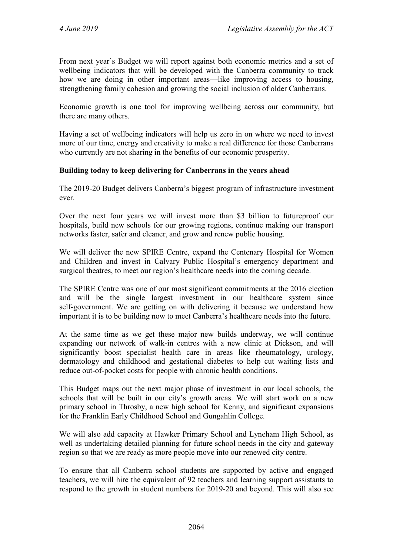From next year's Budget we will report against both economic metrics and a set of wellbeing indicators that will be developed with the Canberra community to track how we are doing in other important areas—like improving access to housing, strengthening family cohesion and growing the social inclusion of older Canberrans.

Economic growth is one tool for improving wellbeing across our community, but there are many others.

Having a set of wellbeing indicators will help us zero in on where we need to invest more of our time, energy and creativity to make a real difference for those Canberrans who currently are not sharing in the benefits of our economic prosperity.

#### **Building today to keep delivering for Canberrans in the years ahead**

The 2019-20 Budget delivers Canberra's biggest program of infrastructure investment ever.

Over the next four years we will invest more than \$3 billion to futureproof our hospitals, build new schools for our growing regions, continue making our transport networks faster, safer and cleaner, and grow and renew public housing.

We will deliver the new SPIRE Centre, expand the Centenary Hospital for Women and Children and invest in Calvary Public Hospital's emergency department and surgical theatres, to meet our region's healthcare needs into the coming decade.

The SPIRE Centre was one of our most significant commitments at the 2016 election and will be the single largest investment in our healthcare system since self-government. We are getting on with delivering it because we understand how important it is to be building now to meet Canberra's healthcare needs into the future.

At the same time as we get these major new builds underway, we will continue expanding our network of walk-in centres with a new clinic at Dickson, and will significantly boost specialist health care in areas like rheumatology, urology, dermatology and childhood and gestational diabetes to help cut waiting lists and reduce out-of-pocket costs for people with chronic health conditions.

This Budget maps out the next major phase of investment in our local schools, the schools that will be built in our city's growth areas. We will start work on a new primary school in Throsby, a new high school for Kenny, and significant expansions for the Franklin Early Childhood School and Gungahlin College.

We will also add capacity at Hawker Primary School and Lyneham High School, as well as undertaking detailed planning for future school needs in the city and gateway region so that we are ready as more people move into our renewed city centre.

To ensure that all Canberra school students are supported by active and engaged teachers, we will hire the equivalent of 92 teachers and learning support assistants to respond to the growth in student numbers for 2019-20 and beyond. This will also see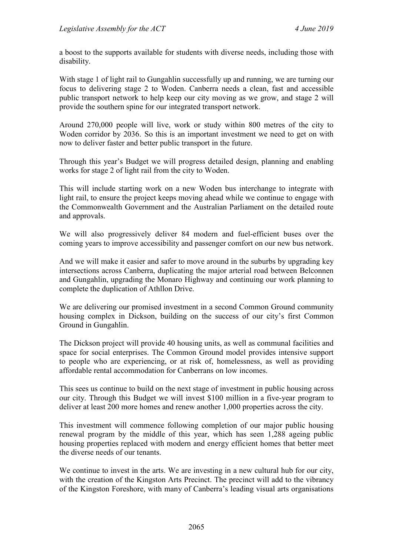a boost to the supports available for students with diverse needs, including those with disability.

With stage 1 of light rail to Gungahlin successfully up and running, we are turning our focus to delivering stage 2 to Woden. Canberra needs a clean, fast and accessible public transport network to help keep our city moving as we grow, and stage 2 will provide the southern spine for our integrated transport network.

Around 270,000 people will live, work or study within 800 metres of the city to Woden corridor by 2036. So this is an important investment we need to get on with now to deliver faster and better public transport in the future.

Through this year's Budget we will progress detailed design, planning and enabling works for stage 2 of light rail from the city to Woden.

This will include starting work on a new Woden bus interchange to integrate with light rail, to ensure the project keeps moving ahead while we continue to engage with the Commonwealth Government and the Australian Parliament on the detailed route and approvals.

We will also progressively deliver 84 modern and fuel-efficient buses over the coming years to improve accessibility and passenger comfort on our new bus network.

And we will make it easier and safer to move around in the suburbs by upgrading key intersections across Canberra, duplicating the major arterial road between Belconnen and Gungahlin, upgrading the Monaro Highway and continuing our work planning to complete the duplication of Athllon Drive.

We are delivering our promised investment in a second Common Ground community housing complex in Dickson, building on the success of our city's first Common Ground in Gungahlin.

The Dickson project will provide 40 housing units, as well as communal facilities and space for social enterprises. The Common Ground model provides intensive support to people who are experiencing, or at risk of, homelessness, as well as providing affordable rental accommodation for Canberrans on low incomes.

This sees us continue to build on the next stage of investment in public housing across our city. Through this Budget we will invest \$100 million in a five-year program to deliver at least 200 more homes and renew another 1,000 properties across the city.

This investment will commence following completion of our major public housing renewal program by the middle of this year, which has seen 1,288 ageing public housing properties replaced with modern and energy efficient homes that better meet the diverse needs of our tenants.

We continue to invest in the arts. We are investing in a new cultural hub for our city, with the creation of the Kingston Arts Precinct. The precinct will add to the vibrancy of the Kingston Foreshore, with many of Canberra's leading visual arts organisations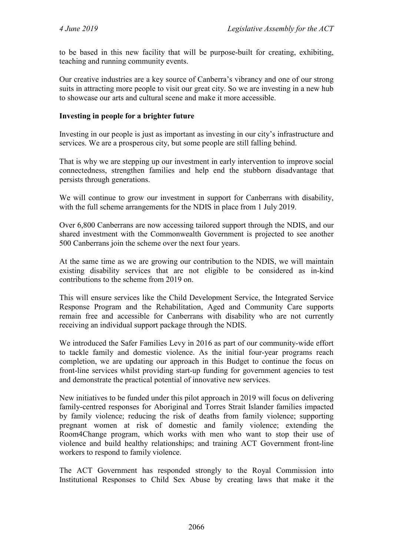to be based in this new facility that will be purpose-built for creating, exhibiting, teaching and running community events.

Our creative industries are a key source of Canberra's vibrancy and one of our strong suits in attracting more people to visit our great city. So we are investing in a new hub to showcase our arts and cultural scene and make it more accessible.

#### **Investing in people for a brighter future**

Investing in our people is just as important as investing in our city's infrastructure and services. We are a prosperous city, but some people are still falling behind.

That is why we are stepping up our investment in early intervention to improve social connectedness, strengthen families and help end the stubborn disadvantage that persists through generations.

We will continue to grow our investment in support for Canberrans with disability, with the full scheme arrangements for the NDIS in place from 1 July 2019.

Over 6,800 Canberrans are now accessing tailored support through the NDIS, and our shared investment with the Commonwealth Government is projected to see another 500 Canberrans join the scheme over the next four years.

At the same time as we are growing our contribution to the NDIS, we will maintain existing disability services that are not eligible to be considered as in-kind contributions to the scheme from 2019 on.

This will ensure services like the Child Development Service, the Integrated Service Response Program and the Rehabilitation, Aged and Community Care supports remain free and accessible for Canberrans with disability who are not currently receiving an individual support package through the NDIS.

We introduced the Safer Families Levy in 2016 as part of our community-wide effort to tackle family and domestic violence. As the initial four-year programs reach completion, we are updating our approach in this Budget to continue the focus on front-line services whilst providing start-up funding for government agencies to test and demonstrate the practical potential of innovative new services.

New initiatives to be funded under this pilot approach in 2019 will focus on delivering family-centred responses for Aboriginal and Torres Strait Islander families impacted by family violence; reducing the risk of deaths from family violence; supporting pregnant women at risk of domestic and family violence; extending the Room4Change program, which works with men who want to stop their use of violence and build healthy relationships; and training ACT Government front-line workers to respond to family violence.

The ACT Government has responded strongly to the Royal Commission into Institutional Responses to Child Sex Abuse by creating laws that make it the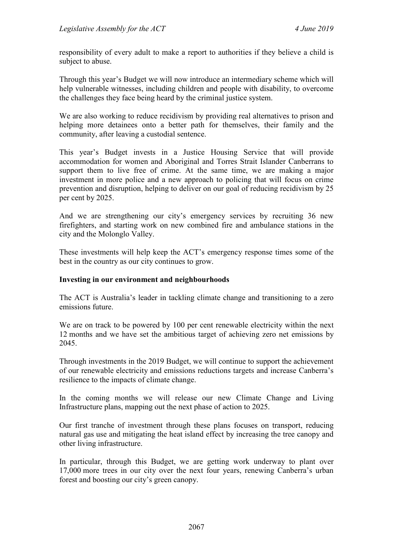responsibility of every adult to make a report to authorities if they believe a child is subject to abuse.

Through this year's Budget we will now introduce an intermediary scheme which will help vulnerable witnesses, including children and people with disability, to overcome the challenges they face being heard by the criminal justice system.

We are also working to reduce recidivism by providing real alternatives to prison and helping more detainees onto a better path for themselves, their family and the community, after leaving a custodial sentence.

This year's Budget invests in a Justice Housing Service that will provide accommodation for women and Aboriginal and Torres Strait Islander Canberrans to support them to live free of crime. At the same time, we are making a major investment in more police and a new approach to policing that will focus on crime prevention and disruption, helping to deliver on our goal of reducing recidivism by 25 per cent by 2025.

And we are strengthening our city's emergency services by recruiting 36 new firefighters, and starting work on new combined fire and ambulance stations in the city and the Molonglo Valley.

These investments will help keep the ACT's emergency response times some of the best in the country as our city continues to grow.

#### **Investing in our environment and neighbourhoods**

The ACT is Australia's leader in tackling climate change and transitioning to a zero emissions future.

We are on track to be powered by 100 per cent renewable electricity within the next 12 months and we have set the ambitious target of achieving zero net emissions by 2045.

Through investments in the 2019 Budget, we will continue to support the achievement of our renewable electricity and emissions reductions targets and increase Canberra's resilience to the impacts of climate change.

In the coming months we will release our new Climate Change and Living Infrastructure plans, mapping out the next phase of action to 2025.

Our first tranche of investment through these plans focuses on transport, reducing natural gas use and mitigating the heat island effect by increasing the tree canopy and other living infrastructure.

In particular, through this Budget, we are getting work underway to plant over 17,000 more trees in our city over the next four years, renewing Canberra's urban forest and boosting our city's green canopy.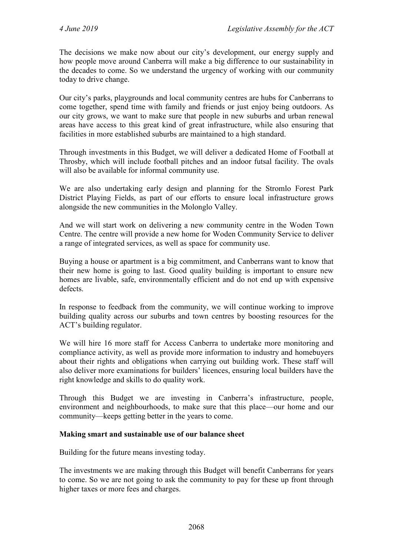The decisions we make now about our city's development, our energy supply and how people move around Canberra will make a big difference to our sustainability in the decades to come. So we understand the urgency of working with our community today to drive change.

Our city's parks, playgrounds and local community centres are hubs for Canberrans to come together, spend time with family and friends or just enjoy being outdoors. As our city grows, we want to make sure that people in new suburbs and urban renewal areas have access to this great kind of great infrastructure, while also ensuring that facilities in more established suburbs are maintained to a high standard.

Through investments in this Budget, we will deliver a dedicated Home of Football at Throsby, which will include football pitches and an indoor futsal facility. The ovals will also be available for informal community use.

We are also undertaking early design and planning for the Stromlo Forest Park District Playing Fields, as part of our efforts to ensure local infrastructure grows alongside the new communities in the Molonglo Valley.

And we will start work on delivering a new community centre in the Woden Town Centre. The centre will provide a new home for Woden Community Service to deliver a range of integrated services, as well as space for community use.

Buying a house or apartment is a big commitment, and Canberrans want to know that their new home is going to last. Good quality building is important to ensure new homes are livable, safe, environmentally efficient and do not end up with expensive defects.

In response to feedback from the community, we will continue working to improve building quality across our suburbs and town centres by boosting resources for the ACT's building regulator.

We will hire 16 more staff for Access Canberra to undertake more monitoring and compliance activity, as well as provide more information to industry and homebuyers about their rights and obligations when carrying out building work. These staff will also deliver more examinations for builders' licences, ensuring local builders have the right knowledge and skills to do quality work.

Through this Budget we are investing in Canberra's infrastructure, people, environment and neighbourhoods, to make sure that this place—our home and our community—keeps getting better in the years to come.

#### **Making smart and sustainable use of our balance sheet**

Building for the future means investing today.

The investments we are making through this Budget will benefit Canberrans for years to come. So we are not going to ask the community to pay for these up front through higher taxes or more fees and charges.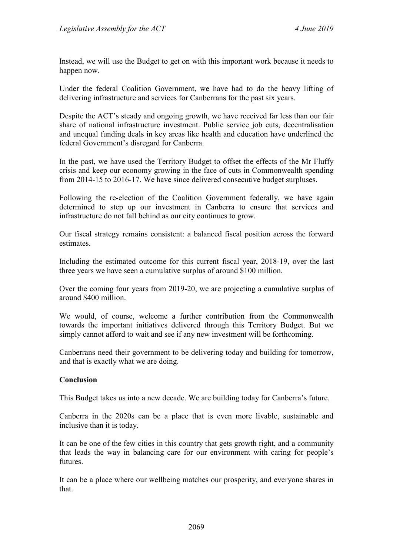Instead, we will use the Budget to get on with this important work because it needs to happen now.

Under the federal Coalition Government, we have had to do the heavy lifting of delivering infrastructure and services for Canberrans for the past six years.

Despite the ACT's steady and ongoing growth, we have received far less than our fair share of national infrastructure investment. Public service job cuts, decentralisation and unequal funding deals in key areas like health and education have underlined the federal Government's disregard for Canberra.

In the past, we have used the Territory Budget to offset the effects of the Mr Fluffy crisis and keep our economy growing in the face of cuts in Commonwealth spending from 2014-15 to 2016-17. We have since delivered consecutive budget surpluses.

Following the re-election of the Coalition Government federally, we have again determined to step up our investment in Canberra to ensure that services and infrastructure do not fall behind as our city continues to grow.

Our fiscal strategy remains consistent: a balanced fiscal position across the forward estimates.

Including the estimated outcome for this current fiscal year, 2018-19, over the last three years we have seen a cumulative surplus of around \$100 million.

Over the coming four years from 2019-20, we are projecting a cumulative surplus of around \$400 million.

We would, of course, welcome a further contribution from the Commonwealth towards the important initiatives delivered through this Territory Budget. But we simply cannot afford to wait and see if any new investment will be forthcoming.

Canberrans need their government to be delivering today and building for tomorrow, and that is exactly what we are doing.

#### **Conclusion**

This Budget takes us into a new decade. We are building today for Canberra's future.

Canberra in the 2020s can be a place that is even more livable, sustainable and inclusive than it is today.

It can be one of the few cities in this country that gets growth right, and a community that leads the way in balancing care for our environment with caring for people's futures.

It can be a place where our wellbeing matches our prosperity, and everyone shares in that.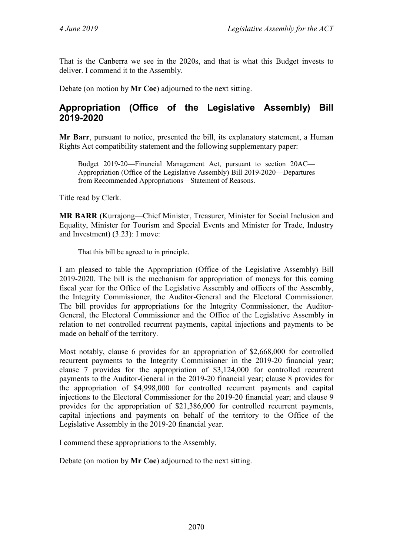That is the Canberra we see in the 2020s, and that is what this Budget invests to deliver. I commend it to the Assembly.

Debate (on motion by **Mr Coe**) adjourned to the next sitting.

# <span id="page-66-0"></span>**Appropriation (Office of the Legislative Assembly) Bill 2019-2020**

**Mr Barr**, pursuant to notice, presented the bill, its explanatory statement, a Human Rights Act compatibility statement and the following supplementary paper:

Budget 2019-20—Financial Management Act, pursuant to section 20AC— Appropriation (Office of the Legislative Assembly) Bill 2019-2020—Departures from Recommended Appropriations—Statement of Reasons.

Title read by Clerk.

**MR BARR** (Kurrajong—Chief Minister, Treasurer, Minister for Social Inclusion and Equality, Minister for Tourism and Special Events and Minister for Trade, Industry and Investment) (3.23): I move:

That this bill be agreed to in principle.

I am pleased to table the Appropriation (Office of the Legislative Assembly) Bill 2019-2020. The bill is the mechanism for appropriation of moneys for this coming fiscal year for the Office of the Legislative Assembly and officers of the Assembly, the Integrity Commissioner, the Auditor-General and the Electoral Commissioner. The bill provides for appropriations for the Integrity Commissioner, the Auditor-General, the Electoral Commissioner and the Office of the Legislative Assembly in relation to net controlled recurrent payments, capital injections and payments to be made on behalf of the territory.

Most notably, clause 6 provides for an appropriation of \$2,668,000 for controlled recurrent payments to the Integrity Commissioner in the 2019-20 financial year; clause 7 provides for the appropriation of \$3,124,000 for controlled recurrent payments to the Auditor-General in the 2019-20 financial year; clause 8 provides for the appropriation of \$4,998,000 for controlled recurrent payments and capital injections to the Electoral Commissioner for the 2019-20 financial year; and clause 9 provides for the appropriation of \$21,386,000 for controlled recurrent payments, capital injections and payments on behalf of the territory to the Office of the Legislative Assembly in the 2019-20 financial year.

I commend these appropriations to the Assembly.

Debate (on motion by **Mr Coe**) adjourned to the next sitting.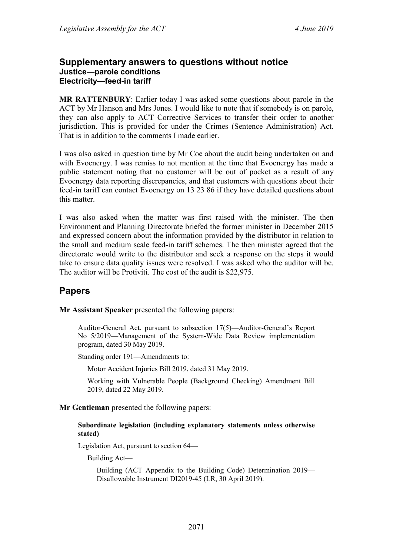#### <span id="page-67-1"></span><span id="page-67-0"></span>**Supplementary answers to questions without notice Justice—parole conditions Electricity—feed-in tariff**

<span id="page-67-2"></span>**MR RATTENBURY**: Earlier today I was asked some questions about parole in the ACT by Mr Hanson and Mrs Jones. I would like to note that if somebody is on parole, they can also apply to ACT Corrective Services to transfer their order to another jurisdiction. This is provided for under the Crimes (Sentence Administration) Act. That is in addition to the comments I made earlier.

I was also asked in question time by Mr Coe about the audit being undertaken on and with Evoenergy. I was remiss to not mention at the time that Evoenergy has made a public statement noting that no customer will be out of pocket as a result of any Evoenergy data reporting discrepancies, and that customers with questions about their feed-in tariff can contact Evoenergy on 13 23 86 if they have detailed questions about this matter.

I was also asked when the matter was first raised with the minister. The then Environment and Planning Directorate briefed the former minister in December 2015 and expressed concern about the information provided by the distributor in relation to the small and medium scale feed-in tariff schemes. The then minister agreed that the directorate would write to the distributor and seek a response on the steps it would take to ensure data quality issues were resolved. I was asked who the auditor will be. The auditor will be Protiviti. The cost of the audit is \$22,975.

# <span id="page-67-3"></span>**Papers**

**Mr Assistant Speaker** presented the following papers:

Auditor-General Act, pursuant to subsection 17(5)—Auditor-General's Report No 5/2019—Management of the System-Wide Data Review implementation program, dated 30 May 2019.

Standing order 191—Amendments to:

Motor Accident Injuries Bill 2019, dated 31 May 2019.

Working with Vulnerable People (Background Checking) Amendment Bill 2019, dated 22 May 2019.

**Mr Gentleman** presented the following papers:

#### **Subordinate legislation (including explanatory statements unless otherwise stated)**

Legislation Act, pursuant to section 64—

Building Act—

Building (ACT Appendix to the Building Code) Determination 2019— Disallowable Instrument DI2019-45 (LR, 30 April 2019).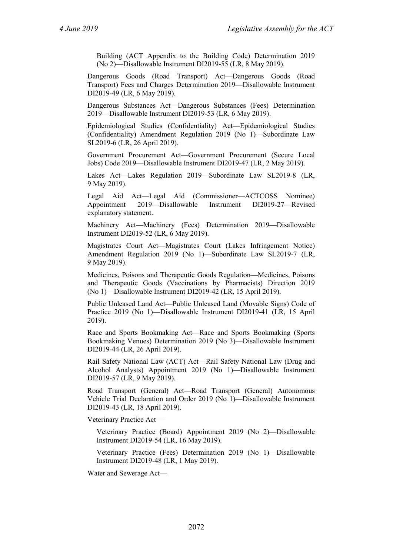Building (ACT Appendix to the Building Code) Determination 2019 (No 2)—Disallowable Instrument DI2019-55 (LR, 8 May 2019).

Dangerous Goods (Road Transport) Act—Dangerous Goods (Road Transport) Fees and Charges Determination 2019—Disallowable Instrument DI2019-49 (LR, 6 May 2019).

Dangerous Substances Act—Dangerous Substances (Fees) Determination 2019—Disallowable Instrument DI2019-53 (LR, 6 May 2019).

Epidemiological Studies (Confidentiality) Act—Epidemiological Studies (Confidentiality) Amendment Regulation 2019 (No 1)—Subordinate Law SL2019-6 (LR, 26 April 2019).

Government Procurement Act—Government Procurement (Secure Local Jobs) Code 2019—Disallowable Instrument DI2019-47 (LR, 2 May 2019).

Lakes Act—Lakes Regulation 2019—Subordinate Law SL2019-8 (LR, 9 May 2019).

Legal Aid Act—Legal Aid (Commissioner—ACTCOSS Nominee) Appointment 2019—Disallowable Instrument DI2019-27—Revised explanatory statement.

Machinery Act—Machinery (Fees) Determination 2019—Disallowable Instrument DI2019-52 (LR, 6 May 2019).

Magistrates Court Act—Magistrates Court (Lakes Infringement Notice) Amendment Regulation 2019 (No 1)—Subordinate Law SL2019-7 (LR, 9 May 2019).

Medicines, Poisons and Therapeutic Goods Regulation—Medicines, Poisons and Therapeutic Goods (Vaccinations by Pharmacists) Direction 2019 (No 1)—Disallowable Instrument DI2019-42 (LR, 15 April 2019).

Public Unleased Land Act—Public Unleased Land (Movable Signs) Code of Practice 2019 (No 1)—Disallowable Instrument DI2019-41 (LR, 15 April 2019).

Race and Sports Bookmaking Act—Race and Sports Bookmaking (Sports Bookmaking Venues) Determination 2019 (No 3)—Disallowable Instrument DI2019-44 (LR, 26 April 2019).

Rail Safety National Law (ACT) Act—Rail Safety National Law (Drug and Alcohol Analysts) Appointment 2019 (No 1)—Disallowable Instrument DI2019-57 (LR, 9 May 2019).

Road Transport (General) Act—Road Transport (General) Autonomous Vehicle Trial Declaration and Order 2019 (No 1)—Disallowable Instrument DI2019-43 (LR, 18 April 2019).

Veterinary Practice Act—

Veterinary Practice (Board) Appointment 2019 (No 2)—Disallowable Instrument DI2019-54 (LR, 16 May 2019).

Veterinary Practice (Fees) Determination 2019 (No 1)—Disallowable Instrument DI2019-48 (LR, 1 May 2019).

Water and Sewerage Act—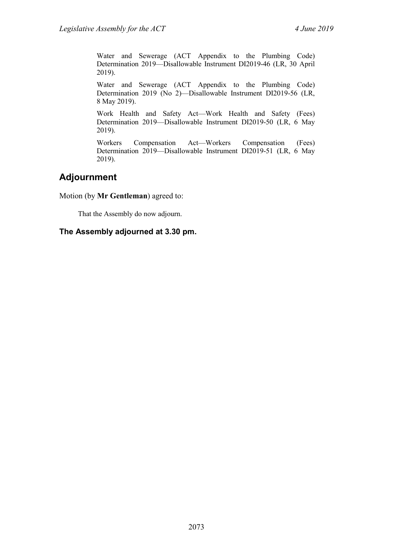Water and Sewerage (ACT Appendix to the Plumbing Code) Determination 2019—Disallowable Instrument DI2019-46 (LR, 30 April 2019).

Water and Sewerage (ACT Appendix to the Plumbing Code) Determination 2019 (No 2)—Disallowable Instrument DI2019-56 (LR, 8 May 2019).

Work Health and Safety Act—Work Health and Safety (Fees) Determination 2019—Disallowable Instrument DI2019-50 (LR, 6 May 2019).

Workers Compensation Act—Workers Compensation (Fees) Determination 2019—Disallowable Instrument DI2019-51 (LR, 6 May 2019).

# <span id="page-69-0"></span>**Adjournment**

Motion (by **Mr Gentleman**) agreed to:

That the Assembly do now adjourn.

#### **The Assembly adjourned at 3.30 pm.**